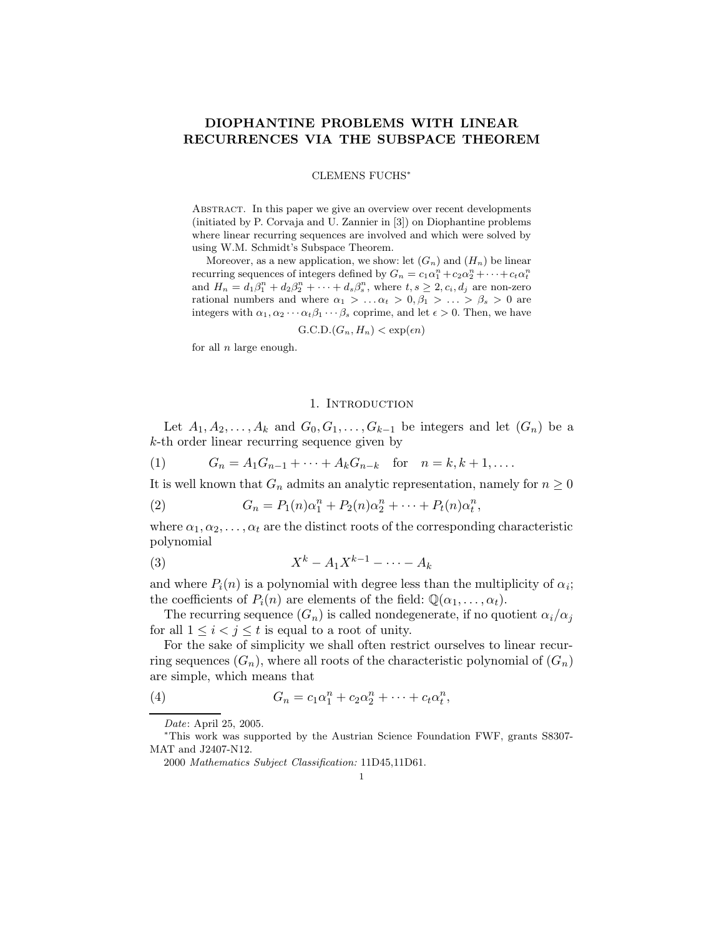## DIOPHANTINE PROBLEMS WITH LINEAR RECURRENCES VIA THE SUBSPACE THEOREM

#### CLEMENS FUCHS<sup>∗</sup>

ABSTRACT. In this paper we give an overview over recent developments (initiated by P. Corvaja and U. Zannier in [3]) on Diophantine problems where linear recurring sequences are involved and which were solved by using W.M. Schmidt's Subspace Theorem.

Moreover, as a new application, we show: let  $(G_n)$  and  $(H_n)$  be linear recurring sequences of integers defined by  $G_n = c_1 \alpha_1^n + c_2 \alpha_2^n + \cdots + c_t \alpha_t^n$ and  $H_n = d_1\beta_1^n + d_2\beta_2^n + \cdots + d_s\beta_s^n$ , where  $t, s \geq 2, c_i, d_j$  are non-zero rational numbers and where  $\alpha_1 > \ldots \alpha_t > 0, \beta_1 > \ldots > \beta_s > 0$  are integers with  $\alpha_1, \alpha_2 \cdots \alpha_t \beta_1 \cdots \beta_s$  coprime, and let  $\epsilon > 0$ . Then, we have

 $G.C.D.(G_n, H_n) < exp(\epsilon n)$ 

for all  $n$  large enough.

## 1. INTRODUCTION

Let  $A_1, A_2, \ldots, A_k$  and  $G_0, G_1, \ldots, G_{k-1}$  be integers and let  $(G_n)$  be a k-th order linear recurring sequence given by

(1)  $G_n = A_1 G_{n-1} + \cdots + A_k G_{n-k}$  for  $n = k, k+1, \ldots$ .

It is well known that  $G_n$  admits an analytic representation, namely for  $n \geq 0$ 

(2) 
$$
G_n = P_1(n)\alpha_1^n + P_2(n)\alpha_2^n + \dots + P_t(n)\alpha_t^n,
$$

where  $\alpha_1, \alpha_2, \ldots, \alpha_t$  are the distinct roots of the corresponding characteristic polynomial

$$
(3) \t\t Xk - A1Xk-1 - \cdots - Ak
$$

and where  $P_i(n)$  is a polynomial with degree less than the multiplicity of  $\alpha_i$ ; the coefficients of  $P_i(n)$  are elements of the field:  $\mathbb{Q}(\alpha_1, \ldots, \alpha_t)$ .

The recurring sequence  $(G_n)$  is called nondegenerate, if no quotient  $\alpha_i/\alpha_j$ for all  $1 \leq i < j \leq t$  is equal to a root of unity.

For the sake of simplicity we shall often restrict ourselves to linear recurring sequences  $(G_n)$ , where all roots of the characteristic polynomial of  $(G_n)$ are simple, which means that

(4) 
$$
G_n = c_1 \alpha_1^n + c_2 \alpha_2^n + \cdots + c_t \alpha_t^n,
$$

Date: April 25, 2005.

<sup>∗</sup>This work was supported by the Austrian Science Foundation FWF, grants S8307- MAT and J2407-N12.

<sup>2000</sup> Mathematics Subject Classification: 11D45,11D61.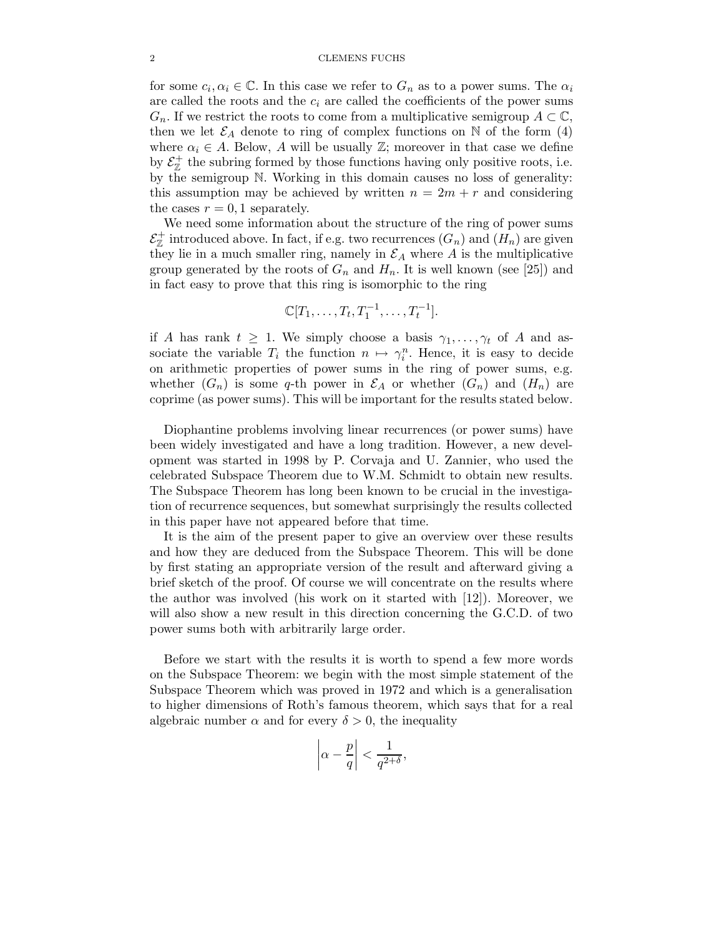#### 2 CLEMENS FUCHS

for some  $c_i, \alpha_i \in \mathbb{C}$ . In this case we refer to  $G_n$  as to a power sums. The  $\alpha_i$ are called the roots and the  $c_i$  are called the coefficients of the power sums  $G_n$ . If we restrict the roots to come from a multiplicative semigroup  $A \subset \mathbb{C}$ , then we let  $\mathcal{E}_A$  denote to ring of complex functions on N of the form (4) where  $\alpha_i \in A$ . Below, A will be usually  $\mathbb{Z}$ ; moreover in that case we define by  $\mathcal{E}_{\mathbb{Z}}^+$  the subring formed by those functions having only positive roots, i.e. by the semigroup N. Working in this domain causes no loss of generality: this assumption may be achieved by written  $n = 2m + r$  and considering the cases  $r = 0, 1$  separately.

We need some information about the structure of the ring of power sums  $\mathcal{E}_{\mathbb{Z}}^+$  introduced above. In fact, if e.g. two recurrences  $(G_n)$  and  $(H_n)$  are given they lie in a much smaller ring, namely in  $\mathcal{E}_A$  where A is the multiplicative group generated by the roots of  $G_n$  and  $H_n$ . It is well known (see [25]) and in fact easy to prove that this ring is isomorphic to the ring

$$
\mathbb{C}[T_1,\ldots,T_t,T_1^{-1},\ldots,T_t^{-1}].
$$

if A has rank  $t \geq 1$ . We simply choose a basis  $\gamma_1, \ldots, \gamma_t$  of A and associate the variable  $T_i$  the function  $n \mapsto \gamma_i^n$ . Hence, it is easy to decide on arithmetic properties of power sums in the ring of power sums, e.g. whether  $(G_n)$  is some q-th power in  $\mathcal{E}_A$  or whether  $(G_n)$  and  $(H_n)$  are coprime (as power sums). This will be important for the results stated below.

Diophantine problems involving linear recurrences (or power sums) have been widely investigated and have a long tradition. However, a new development was started in 1998 by P. Corvaja and U. Zannier, who used the celebrated Subspace Theorem due to W.M. Schmidt to obtain new results. The Subspace Theorem has long been known to be crucial in the investigation of recurrence sequences, but somewhat surprisingly the results collected in this paper have not appeared before that time.

It is the aim of the present paper to give an overview over these results and how they are deduced from the Subspace Theorem. This will be done by first stating an appropriate version of the result and afterward giving a brief sketch of the proof. Of course we will concentrate on the results where the author was involved (his work on it started with [12]). Moreover, we will also show a new result in this direction concerning the G.C.D. of two power sums both with arbitrarily large order.

Before we start with the results it is worth to spend a few more words on the Subspace Theorem: we begin with the most simple statement of the Subspace Theorem which was proved in 1972 and which is a generalisation to higher dimensions of Roth's famous theorem, which says that for a real algebraic number  $\alpha$  and for every  $\delta > 0$ , the inequality

$$
\left|\alpha - \frac{p}{q}\right| < \frac{1}{q^{2+\delta}},
$$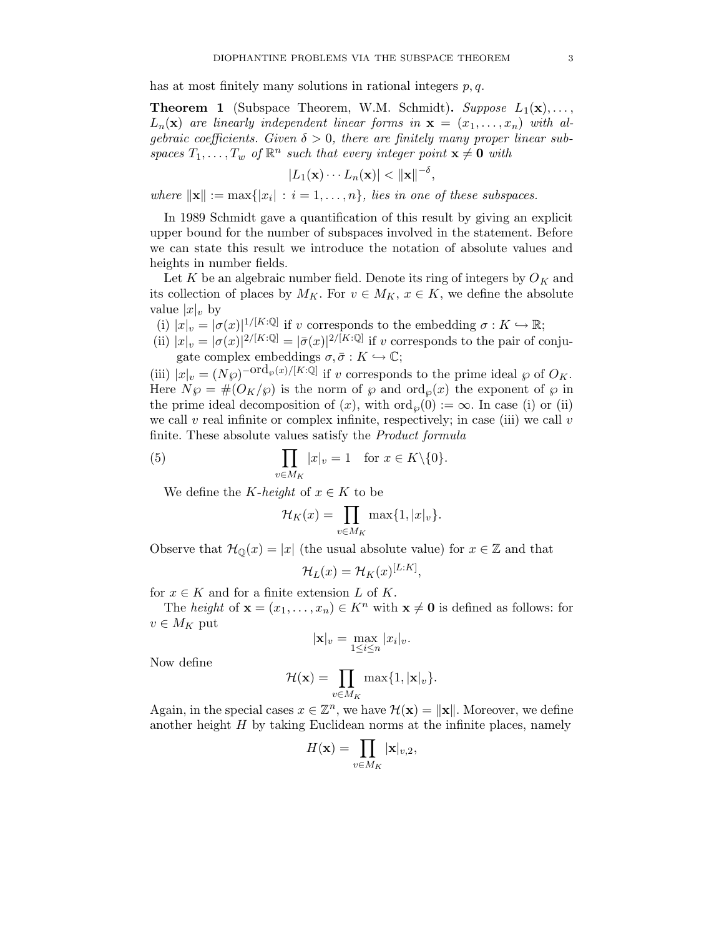has at most finitely many solutions in rational integers  $p, q$ .

**Theorem 1** (Subspace Theorem, W.M. Schmidt). Suppose  $L_1(\mathbf{x}), \ldots$ ,  $L_n(\mathbf{x})$  are linearly independent linear forms in  $\mathbf{x} = (x_1, \ldots, x_n)$  with algebraic coefficients. Given  $\delta > 0$ , there are finitely many proper linear subspaces  $T_1, \ldots, T_w$  of  $\mathbb{R}^n$  such that every integer point  $\mathbf{x} \neq \mathbf{0}$  with

$$
|L_1(\mathbf{x})\cdots L_n(\mathbf{x})| < \|\mathbf{x}\|^{-\delta},
$$

where  $\|\mathbf{x}\| := \max\{|x_i| : i = 1, \ldots, n\}$ , lies in one of these subspaces.

In 1989 Schmidt gave a quantification of this result by giving an explicit upper bound for the number of subspaces involved in the statement. Before we can state this result we introduce the notation of absolute values and heights in number fields.

Let  $K$  be an algebraic number field. Denote its ring of integers by  $O_K$  and its collection of places by  $M_K$ . For  $v \in M_K$ ,  $x \in K$ , we define the absolute value  $|x|_v$  by

- (i)  $|x|_v = |\sigma(x)|^{1/[K:\mathbb{Q}]}$  if v corresponds to the embedding  $\sigma: K \hookrightarrow \mathbb{R}$ ;
- (ii)  $|x|_v = |\sigma(x)|^{2/[K:\mathbb{Q}]} = |\bar{\sigma}(x)|^{2/[K:\mathbb{Q}]}$  if v corresponds to the pair of conjugate complex embeddings  $\sigma, \bar{\sigma}: K \hookrightarrow \mathbb{C};$

(iii)  $|x|_v = (N\wp)^{-\text{ord}_\wp(x)/[K:\mathbb{Q}]}$  if v corresponds to the prime ideal  $\wp$  of  $O_K$ . Here  $N\wp = \#(O_K/\wp)$  is the norm of  $\wp$  and  $\text{ord}_{\wp}(x)$  the exponent of  $\wp$  in the prime ideal decomposition of  $(x)$ , with  $\text{ord}_{\varphi}(0) := \infty$ . In case (i) or (ii) we call v real infinite or complex infinite, respectively; in case (iii) we call v finite. These absolute values satisfy the *Product formula* 

(5) 
$$
\prod_{v \in M_K} |x|_v = 1 \text{ for } x \in K \setminus \{0\}.
$$

We define the K-height of  $x \in K$  to be

$$
\mathcal{H}_K(x) = \prod_{v \in M_K} \max\{1, |x|_v\}.
$$

Observe that  $\mathcal{H}_{\mathbb{Q}}(x) = |x|$  (the usual absolute value) for  $x \in \mathbb{Z}$  and that

$$
\mathcal{H}_L(x) = \mathcal{H}_K(x)^{[L:K]},
$$

for  $x \in K$  and for a finite extension L of K.

The height of  $\mathbf{x} = (x_1, \dots, x_n) \in K^n$  with  $\mathbf{x} \neq \mathbf{0}$  is defined as follows: for  $v \in M_K$  put

$$
|\mathbf{x}|_v = \max_{1 \le i \le n} |x_i|_v.
$$

Now define

$$
\mathcal{H}(\mathbf{x}) = \prod_{v \in M_K} \max\{1, |\mathbf{x}|_v\}.
$$

Again, in the special cases  $x \in \mathbb{Z}^n$ , we have  $\mathcal{H}(\mathbf{x}) = ||\mathbf{x}||$ . Moreover, we define another height  $H$  by taking Euclidean norms at the infinite places, namely

$$
H(\mathbf{x}) = \prod_{v \in M_K} |\mathbf{x}|_{v,2},
$$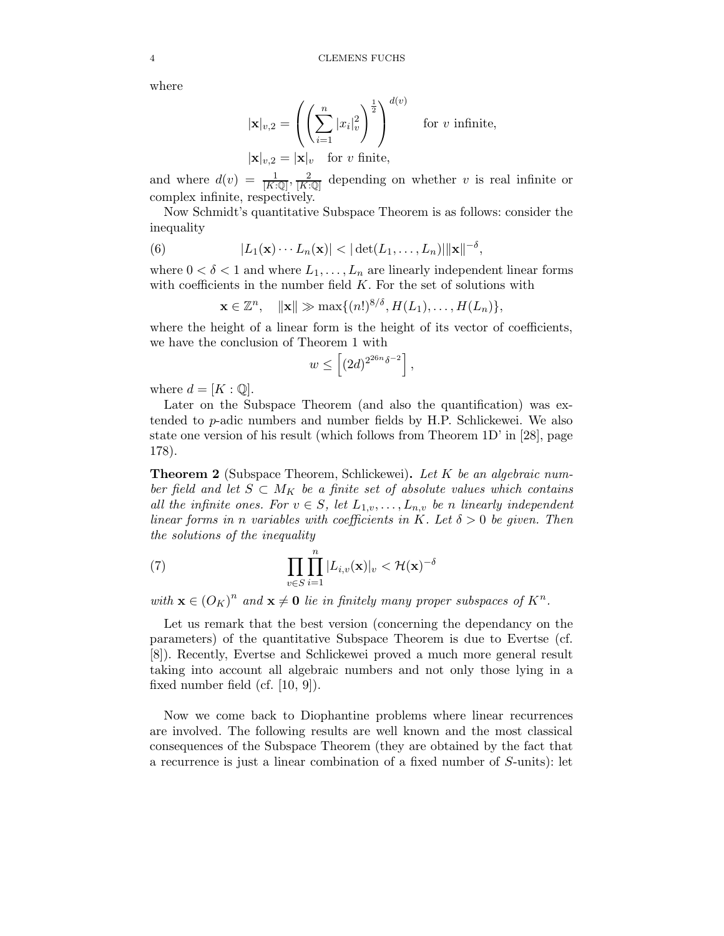where

$$
|\mathbf{x}|_{v,2} = \left( \left( \sum_{i=1}^{n} |x_i|_v^2 \right)^{\frac{1}{2}} \right)^{d(v)} \text{ for } v \text{ infinite,}
$$
  

$$
|\mathbf{x}|_{v,2} = |\mathbf{x}|_v \text{ for } v \text{ finite,}
$$

and where  $d(v) = \frac{1}{[K:\mathbb{Q}]}, \frac{2}{[K:\mathbb{Q}]}$  depending on whether v is real infinite or complex infinite, respectively.

Now Schmidt's quantitative Subspace Theorem is as follows: consider the inequality

(6) 
$$
|L_1(\mathbf{x})\cdots L_n(\mathbf{x})| < |\det(L_1,\ldots,L_n)| \|\mathbf{x}\|^{-\delta},
$$

where  $0 < \delta < 1$  and where  $L_1, \ldots, L_n$  are linearly independent linear forms with coefficients in the number field  $K$ . For the set of solutions with

$$
\mathbf{x} \in \mathbb{Z}^n, \quad \|\mathbf{x}\| \gg \max\{(n!)^{8/\delta}, H(L_1), \dots, H(L_n)\},\
$$

where the height of a linear form is the height of its vector of coefficients, we have the conclusion of Theorem 1 with

$$
w \le \left[ (2d)^{2^{26n} \delta^{-2}} \right],
$$

where  $d = [K : \mathbb{Q}]$ .

Later on the Subspace Theorem (and also the quantification) was extended to p-adic numbers and number fields by H.P. Schlickewei. We also state one version of his result (which follows from Theorem 1D' in [28], page 178).

**Theorem 2** (Subspace Theorem, Schlickewei). Let K be an algebraic number field and let  $S \subset M_K$  be a finite set of absolute values which contains all the infinite ones. For  $v \in S$ , let  $L_{1,v}, \ldots, L_{n,v}$  be n linearly independent linear forms in n variables with coefficients in K. Let  $\delta > 0$  be given. Then the solutions of the inequality

(7) 
$$
\prod_{v \in S} \prod_{i=1}^n |L_{i,v}(\mathbf{x})|_v < \mathcal{H}(\mathbf{x})^{-\delta}
$$

with  $\mathbf{x} \in (O_K)^n$  and  $\mathbf{x} \neq \mathbf{0}$  lie in finitely many proper subspaces of  $K^n$ .

Let us remark that the best version (concerning the dependancy on the parameters) of the quantitative Subspace Theorem is due to Evertse (cf. [8]). Recently, Evertse and Schlickewei proved a much more general result taking into account all algebraic numbers and not only those lying in a fixed number field (cf. [10, 9]).

Now we come back to Diophantine problems where linear recurrences are involved. The following results are well known and the most classical consequences of the Subspace Theorem (they are obtained by the fact that a recurrence is just a linear combination of a fixed number of S-units): let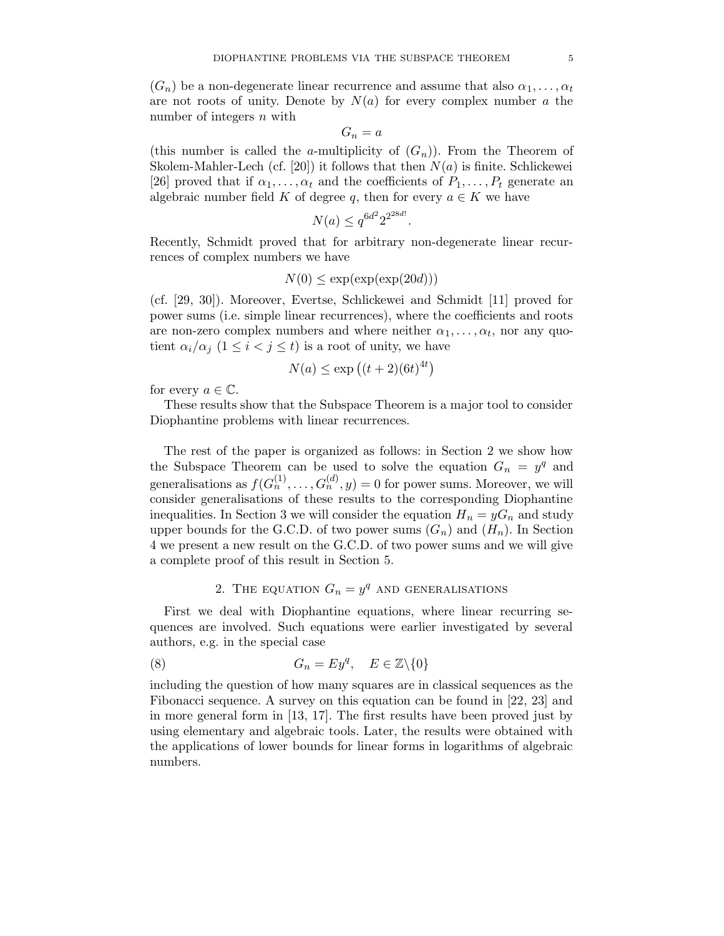$(G_n)$  be a non-degenerate linear recurrence and assume that also  $\alpha_1, \ldots, \alpha_t$ are not roots of unity. Denote by  $N(a)$  for every complex number a the number of integers  $n$  with

$$
G_n = a
$$

(this number is called the a-multiplicity of  $(G_n)$ ). From the Theorem of Skolem-Mahler-Lech (cf. [20]) it follows that then  $N(a)$  is finite. Schlickewei [26] proved that if  $\alpha_1, \ldots, \alpha_t$  and the coefficients of  $P_1, \ldots, P_t$  generate an algebraic number field K of degree q, then for every  $a \in K$  we have

$$
N(a) \le q^{6d^2} 2^{2^{28d!}}
$$

.

Recently, Schmidt proved that for arbitrary non-degenerate linear recurrences of complex numbers we have

$$
N(0) \le \exp(\exp(\exp(20d)))
$$

(cf. [29, 30]). Moreover, Evertse, Schlickewei and Schmidt [11] proved for power sums (i.e. simple linear recurrences), where the coefficients and roots are non-zero complex numbers and where neither  $\alpha_1, \ldots, \alpha_t$ , nor any quotient  $\alpha_i/\alpha_j$   $(1 \leq i < j \leq t)$  is a root of unity, we have

$$
N(a) \le \exp\left((t+2)(6t)^{4t}\right)
$$

for every  $a \in \mathbb{C}$ .

These results show that the Subspace Theorem is a major tool to consider Diophantine problems with linear recurrences.

The rest of the paper is organized as follows: in Section 2 we show how the Subspace Theorem can be used to solve the equation  $G_n = y^q$  and generalisations as  $f(G_n^{(1)}, \ldots, G_n^{(d)}, y) = 0$  for power sums. Moreover, we will consider generalisations of these results to the corresponding Diophantine inequalities. In Section 3 we will consider the equation  $H_n = yG_n$  and study upper bounds for the G.C.D. of two power sums  $(G_n)$  and  $(H_n)$ . In Section 4 we present a new result on the G.C.D. of two power sums and we will give a complete proof of this result in Section 5.

# 2. THE EQUATION  $G_n = y^q$  and generalisations

First we deal with Diophantine equations, where linear recurring sequences are involved. Such equations were earlier investigated by several authors, e.g. in the special case

(8) 
$$
G_n = Ey^q, \quad E \in \mathbb{Z}\backslash\{0\}
$$

including the question of how many squares are in classical sequences as the Fibonacci sequence. A survey on this equation can be found in [22, 23] and in more general form in [13, 17]. The first results have been proved just by using elementary and algebraic tools. Later, the results were obtained with the applications of lower bounds for linear forms in logarithms of algebraic numbers.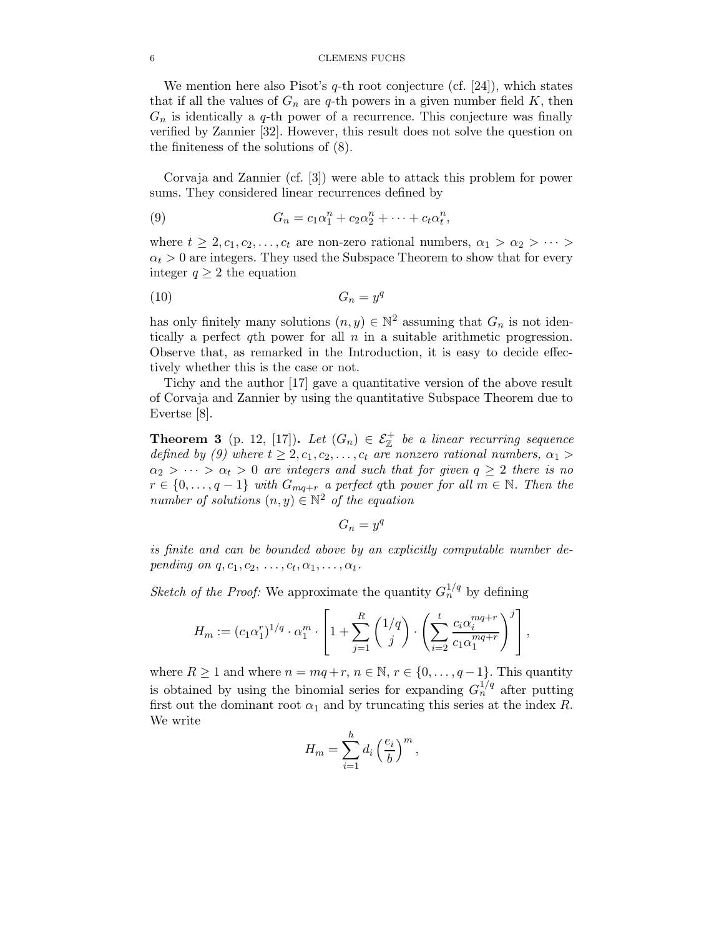#### 6 CLEMENS FUCHS

We mention here also Pisot's  $q$ -th root conjecture (cf. [24]), which states that if all the values of  $G_n$  are q-th powers in a given number field K, then  $G_n$  is identically a q-th power of a recurrence. This conjecture was finally verified by Zannier [32]. However, this result does not solve the question on the finiteness of the solutions of (8).

Corvaja and Zannier (cf. [3]) were able to attack this problem for power sums. They considered linear recurrences defined by

(9) 
$$
G_n = c_1 \alpha_1^n + c_2 \alpha_2^n + \cdots + c_t \alpha_t^n,
$$

where  $t \geq 2, c_1, c_2, \ldots, c_t$  are non-zero rational numbers,  $\alpha_1 > \alpha_2 > \cdots >$  $\alpha_t > 0$  are integers. They used the Subspace Theorem to show that for every integer  $q \geq 2$  the equation

$$
(10) \tG_n = y^q
$$

has only finitely many solutions  $(n, y) \in \mathbb{N}^2$  assuming that  $G_n$  is not identically a perfect qth power for all  $n$  in a suitable arithmetic progression. Observe that, as remarked in the Introduction, it is easy to decide effectively whether this is the case or not.

Tichy and the author [17] gave a quantitative version of the above result of Corvaja and Zannier by using the quantitative Subspace Theorem due to Evertse [8].

**Theorem 3** (p. 12, [17]). Let  $(G_n) \in \mathcal{E}_{\mathbb{Z}}^+$  be a linear recurring sequence defined by (9) where  $t \geq 2, c_1, c_2, \ldots, c_t$  are nonzero rational numbers,  $\alpha_1 >$  $\alpha_2 > \cdots > \alpha_t > 0$  are integers and such that for given  $q \geq 2$  there is no  $r \in \{0, \ldots, q-1\}$  with  $G_{mq+r}$  a perfect qth power for all  $m \in \mathbb{N}$ . Then the number of solutions  $(n, y) \in \mathbb{N}^2$  of the equation

$$
G_n = y^q
$$

is finite and can be bounded above by an explicitly computable number depending on  $q, c_1, c_2, \ldots, c_t, \alpha_1, \ldots, \alpha_t$ .

Sketch of the Proof: We approximate the quantity  $G_n^{1/q}$  by defining

$$
H_m := (c_1 \alpha_1^r)^{1/q} \cdot \alpha_1^m \cdot \left[1 + \sum_{j=1}^R \binom{1/q}{j} \cdot \left(\sum_{i=2}^t \frac{c_i \alpha_i^{mq+r}}{c_1 \alpha_1^{mq+r}}\right)^j\right],
$$

where  $R \ge 1$  and where  $n = mq + r, n \in \mathbb{N}, r \in \{0, ..., q - 1\}$ . This quantity is obtained by using the binomial series for expanding  $G_n^{1/q}$  after putting first out the dominant root  $\alpha_1$  and by truncating this series at the index R. We write

$$
H_m = \sum_{i=1}^h d_i \left(\frac{e_i}{b}\right)^m,
$$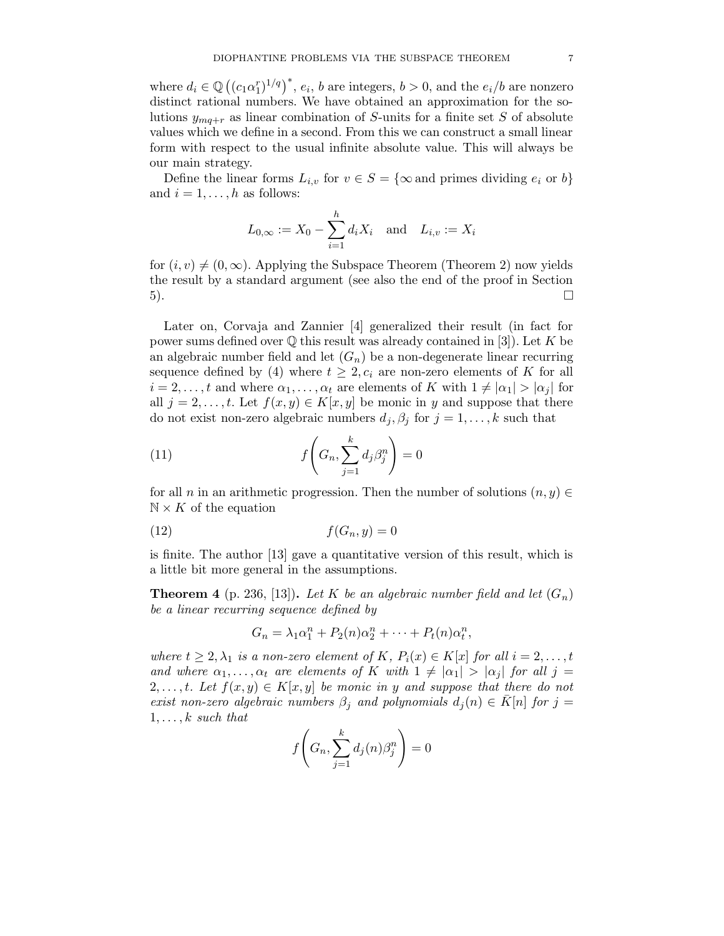where  $d_i \in \mathbb{Q}((c_1\alpha_1^r)^{1/q})^*$ ,  $e_i$ , b are integers,  $b > 0$ , and the  $e_i/b$  are nonzero distinct rational numbers. We have obtained an approximation for the solutions  $y_{mq+r}$  as linear combination of S-units for a finite set S of absolute values which we define in a second. From this we can construct a small linear form with respect to the usual infinite absolute value. This will always be our main strategy.

Define the linear forms  $L_{i,v}$  for  $v \in S = \{\infty \text{ and primes dividing } e_i \text{ or } b\}$ and  $i = 1, \ldots, h$  as follows:

$$
L_{0,\infty} := X_0 - \sum_{i=1}^h d_i X_i
$$
 and  $L_{i,v} := X_i$ 

for  $(i, v) \neq (0, \infty)$ . Applying the Subspace Theorem (Theorem 2) now yields the result by a standard argument (see also the end of the proof in Section  $\Box$ 

Later on, Corvaja and Zannier [4] generalized their result (in fact for power sums defined over  $\mathbb Q$  this result was already contained in [3]). Let K be an algebraic number field and let  $(G_n)$  be a non-degenerate linear recurring sequence defined by (4) where  $t \geq 2$ ,  $c_i$  are non-zero elements of K for all  $i = 2, \ldots, t$  and where  $\alpha_1, \ldots, \alpha_t$  are elements of K with  $1 \neq |\alpha_1| > |\alpha_i|$  for all  $j = 2, \ldots, t$ . Let  $f(x, y) \in K[x, y]$  be monic in y and suppose that there do not exist non-zero algebraic numbers  $d_j, \beta_j$  for  $j = 1, ..., k$  such that

(11) 
$$
f\left(G_n, \sum_{j=1}^k d_j \beta_j^n\right) = 0
$$

for all n in an arithmetic progression. Then the number of solutions  $(n, y) \in$  $\mathbb{N} \times K$  of the equation

$$
(12)\qquad \qquad f(G_n, y) = 0
$$

is finite. The author [13] gave a quantitative version of this result, which is a little bit more general in the assumptions.

**Theorem 4** (p. 236, [13]). Let K be an algebraic number field and let  $(G_n)$ be a linear recurring sequence defined by

$$
G_n = \lambda_1 \alpha_1^n + P_2(n) \alpha_2^n + \dots + P_t(n) \alpha_t^n,
$$

where  $t \geq 2, \lambda_1$  is a non-zero element of K,  $P_i(x) \in K[x]$  for all  $i = 2, \ldots, t$ and where  $\alpha_1, \ldots, \alpha_t$  are elements of K with  $1 \neq |\alpha_1| > |\alpha_i|$  for all  $j =$  $2, \ldots, t$ . Let  $f(x, y) \in K[x, y]$  be monic in y and suppose that there do not exist non-zero algebraic numbers  $\beta_j$  and polynomials  $d_i(n) \in K[n]$  for  $j =$  $1, \ldots, k$  such that k

$$
f\left(G_n, \sum_{j=1}^k d_j(n)\beta_j^n\right) = 0
$$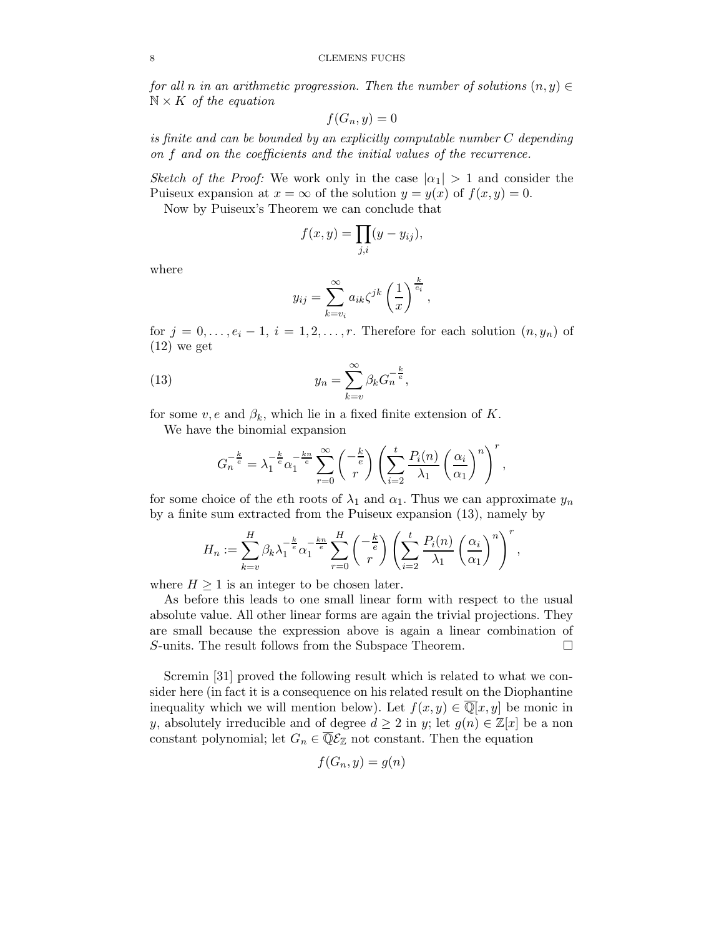#### 8 CLEMENS FUCHS

for all n in an arithmetic progression. Then the number of solutions  $(n, y) \in$  $\mathbb{N} \times K$  of the equation

$$
f(G_n, y) = 0
$$

is finite and can be bounded by an explicitly computable number C depending on f and on the coefficients and the initial values of the recurrence.

Sketch of the Proof: We work only in the case  $|\alpha_1| > 1$  and consider the Puiseux expansion at  $x = \infty$  of the solution  $y = y(x)$  of  $f(x, y) = 0$ .

Now by Puiseux's Theorem we can conclude that

$$
f(x,y) = \prod_{j,i} (y - y_{ij}),
$$

where

$$
y_{ij} = \sum_{k=v_i}^{\infty} a_{ik} \zeta^{jk} \left(\frac{1}{x}\right)^{\frac{k}{e_i}},
$$

for  $j = 0, \ldots, e_i - 1, i = 1, 2, \ldots, r$ . Therefore for each solution  $(n, y_n)$  of  $(12)$  we get

(13) 
$$
y_n = \sum_{k=v}^{\infty} \beta_k G_n^{-\frac{k}{e}},
$$

for some  $v, e$  and  $\beta_k$ , which lie in a fixed finite extension of K.

We have the binomial expansion

$$
G_n^{-\frac{k}{e}} = \lambda_1^{-\frac{k}{e}} \alpha_1^{-\frac{k_n}{e}} \sum_{r=0}^{\infty} {\binom{-\frac{k}{e}}{r}} \left( \sum_{i=2}^{t} \frac{P_i(n)}{\lambda_1} \left( \frac{\alpha_i}{\alpha_1} \right)^n \right)^r,
$$

for some choice of the eth roots of  $\lambda_1$  and  $\alpha_1$ . Thus we can approximate  $y_n$ by a finite sum extracted from the Puiseux expansion (13), namely by

$$
H_n := \sum_{k=v}^H \beta_k \lambda_1^{-\frac{k}{e}} \alpha_1^{-\frac{kn}{e}} \sum_{r=0}^H \begin{pmatrix} -\frac{k}{e} \\ r \end{pmatrix} \left( \sum_{i=2}^t \frac{P_i(n)}{\lambda_1} \left( \frac{\alpha_i}{\alpha_1} \right)^n \right)^r,
$$

where  $H \geq 1$  is an integer to be chosen later.

As before this leads to one small linear form with respect to the usual absolute value. All other linear forms are again the trivial projections. They are small because the expression above is again a linear combination of S-units. The result follows from the Subspace Theorem.  $\Box$ 

Scremin [31] proved the following result which is related to what we consider here (in fact it is a consequence on his related result on the Diophantine inequality which we will mention below). Let  $f(x, y) \in \overline{\mathbb{Q}}[x, y]$  be monic in y, absolutely irreducible and of degree  $d \geq 2$  in y; let  $g(n) \in \mathbb{Z}[x]$  be a non constant polynomial; let  $G_n \in \overline{\mathbb{Q}}\mathcal{E}_{\mathbb{Z}}$  not constant. Then the equation

$$
f(G_n, y) = g(n)
$$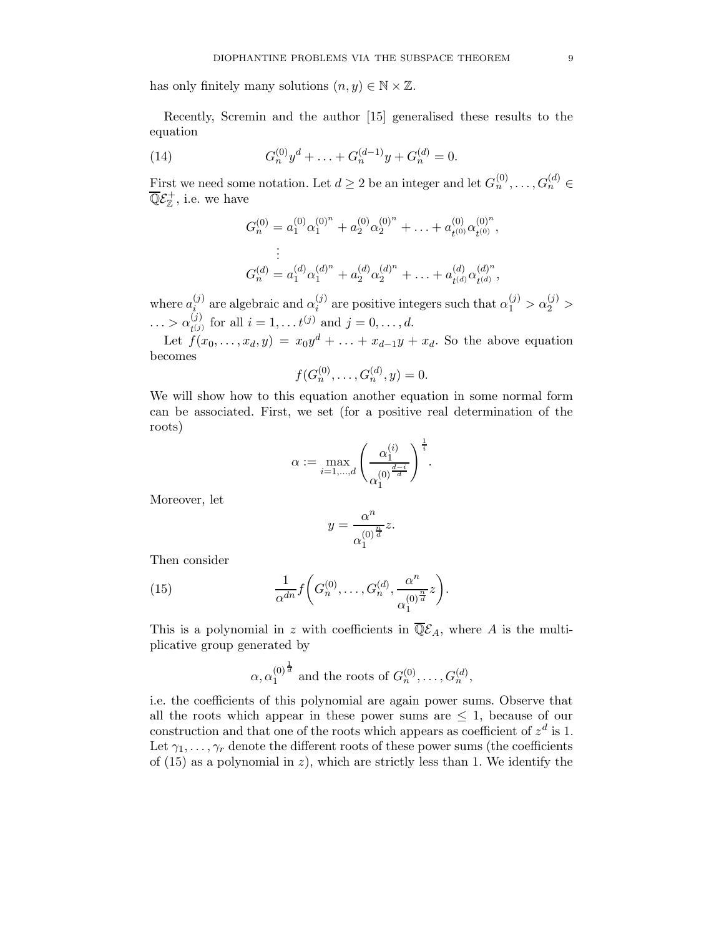has only finitely many solutions  $(n, y) \in \mathbb{N} \times \mathbb{Z}$ .

Recently, Scremin and the author [15] generalised these results to the equation

(14) 
$$
G_n^{(0)}y^d + \ldots + G_n^{(d-1)}y + G_n^{(d)} = 0.
$$

First we need some notation. Let  $d \geq 2$  be an integer and let  $G_n^{(0)}, \ldots, G_n^{(d)} \in$  $\overline{\mathbb{Q}}\mathcal{E}_\mathbb{Z}^+$ , i.e. we have

$$
G_n^{(0)} = a_1^{(0)} \alpha_1^{(0)^n} + a_2^{(0)} \alpha_2^{(0)^n} + \ldots + a_{t^{(0)}}^{(0)} \alpha_{t^{(0)}}^{(0)^n},
$$
  
\n
$$
\vdots
$$
  
\n
$$
G_n^{(d)} = a_1^{(d)} \alpha_1^{(d)^n} + a_2^{(d)} \alpha_2^{(d)^n} + \ldots + a_{t^{(d)}}^{(d)} \alpha_{t^{(d)}}^{(d)^n},
$$

where  $a_i^{(j)}$  $\alpha_i^{(j)}$  are algebraic and  $\alpha_i^{(j)}$  $\alpha_i^{(j)}$  are positive integers such that  $\alpha_1^{(j)} > \alpha_2^{(j)} >$  $\ldots > \alpha_{\scriptscriptstyle \pmb{i} (i)}^{(j)}$  $t_{(j)}^{(j)}$  for all  $i = 1, \ldots t^{(j)}$  and  $j = 0, \ldots, d$ .

Let  $f(x_0, \ldots, x_d, y) = x_0 y^d + \ldots + x_{d-1} y + x_d$ . So the above equation becomes

$$
f(G_n^{(0)}, \ldots, G_n^{(d)}, y) = 0.
$$

We will show how to this equation another equation in some normal form can be associated. First, we set (for a positive real determination of the roots)

$$
\alpha:=\max_{i=1,\ldots,d}\left(\frac{\alpha_1^{(i)}}{\alpha_1^{(0)^{\frac{d-i}{d}}}}\right)^{\frac{1}{i}}.
$$

Moreover, let

$$
y = \frac{\alpha^n}{\alpha_1^{(0)\frac{n}{d}}}z.
$$

Then consider

(15) 
$$
\frac{1}{\alpha^{dn}} f\bigg(G_n^{(0)}, \ldots, G_n^{(d)}, \frac{\alpha^n}{\alpha_1^{(0)^{\frac{n}{d}}}} z\bigg).
$$

This is a polynomial in z with coefficients in  $\overline{\mathbb{Q}}\mathcal{E}_A$ , where A is the multiplicative group generated by

$$
\alpha, \alpha_1^{(0)^{\frac{1}{d}}}
$$
 and the roots of  $G_n^{(0)}, \ldots, G_n^{(d)}$ ,

i.e. the coefficients of this polynomial are again power sums. Observe that all the roots which appear in these power sums are  $\leq 1$ , because of our construction and that one of the roots which appears as coefficient of  $z^d$  is 1. Let  $\gamma_1, \ldots, \gamma_r$  denote the different roots of these power sums (the coefficients of  $(15)$  as a polynomial in z), which are strictly less than 1. We identify the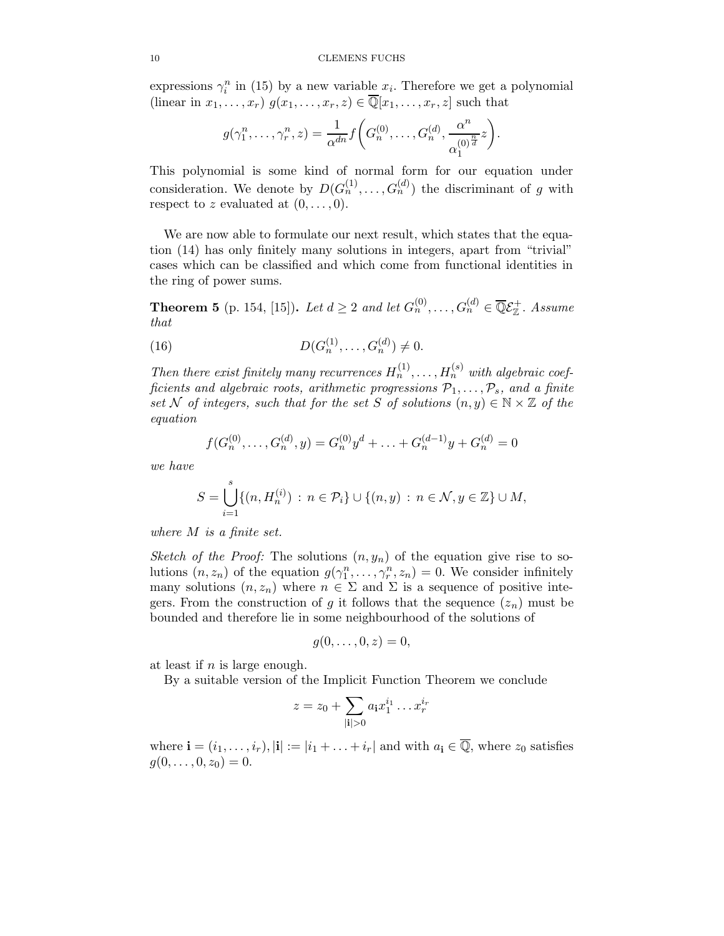expressions  $\gamma_i^n$  in (15) by a new variable  $x_i$ . Therefore we get a polynomial (linear in  $x_1, \ldots, x_r$ )  $g(x_1, \ldots, x_r, z) \in \overline{\mathbb{Q}}[x_1, \ldots, x_r, z]$  such that

$$
g(\gamma_1^n,\ldots,\gamma_r^n,z)=\frac{1}{\alpha^{dn}}f\bigg(G_n^{(0)},\ldots,G_n^{(d)},\frac{\alpha^n}{\alpha_1^{(0)^{\frac{n}{d}}}}z\bigg).
$$

This polynomial is some kind of normal form for our equation under consideration. We denote by  $D(G_n^{(1)}, \ldots, G_n^{(d)})$  the discriminant of g with respect to z evaluated at  $(0, \ldots, 0)$ .

We are now able to formulate our next result, which states that the equation (14) has only finitely many solutions in integers, apart from "trivial" cases which can be classified and which come from functional identities in the ring of power sums.

**Theorem 5** (p. 154, [15]). Let  $d \geq 2$  and let  $G_n^{(0)}, \ldots, G_n^{(d)} \in \overline{\mathbb{Q}}\mathcal{E}_{\mathbb{Z}}^+$ . Assume that

(16) 
$$
D(G_n^{(1)},...,G_n^{(d)}) \neq 0.
$$

Then there exist finitely many recurrences  $H_n^{(1)}, \ldots, H_n^{(s)}$  with algebraic coefficients and algebraic roots, arithmetic progressions  $\mathcal{P}_1, \ldots, \mathcal{P}_s$ , and a finite set N of integers, such that for the set S of solutions  $(n, y) \in \mathbb{N} \times \mathbb{Z}$  of the equation

$$
f(G_n^{(0)}, \ldots, G_n^{(d)}, y) = G_n^{(0)}y^d + \ldots + G_n^{(d-1)}y + G_n^{(d)} = 0
$$

we have

$$
S = \bigcup_{i=1}^{s} \{ (n, H_n^{(i)}) : n \in \mathcal{P}_i \} \cup \{ (n, y) : n \in \mathcal{N}, y \in \mathbb{Z} \} \cup M,
$$

where M is a finite set.

Sketch of the Proof: The solutions  $(n, y_n)$  of the equation give rise to solutions  $(n, z_n)$  of the equation  $g(\gamma_1^n, \ldots, \gamma_r^n, z_n) = 0$ . We consider infinitely many solutions  $(n, z_n)$  where  $n \in \Sigma$  and  $\Sigma$  is a sequence of positive integers. From the construction of g it follows that the sequence  $(z_n)$  must be bounded and therefore lie in some neighbourhood of the solutions of

$$
g(0,\ldots,0,z)=0,
$$

at least if  $n$  is large enough.

By a suitable version of the Implicit Function Theorem we conclude

$$
z = z_0 + \sum_{|\mathbf{i}| > 0} a_{\mathbf{i}} x_1^{i_1} \dots x_r^{i_r}
$$

where  $\mathbf{i} = (i_1, \ldots, i_r), |\mathbf{i}| := |i_1 + \ldots + i_r|$  and with  $a_i \in \overline{\mathbb{Q}}$ , where  $z_0$  satisfies  $g(0, \ldots, 0, z_0) = 0.$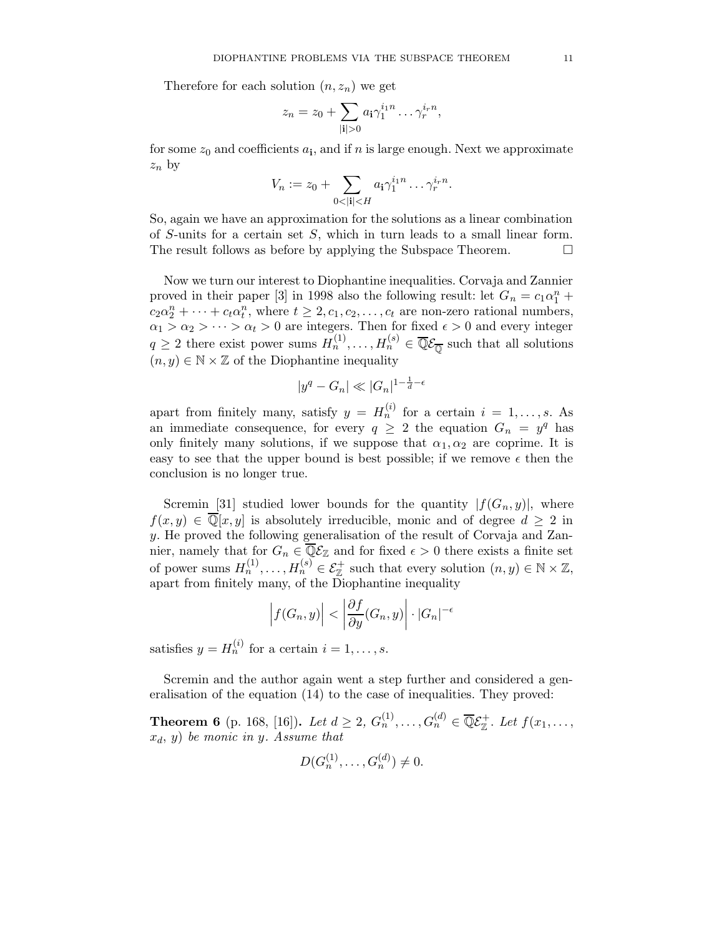Therefore for each solution  $(n, z_n)$  we get

$$
z_n = z_0 + \sum_{|\mathbf{i}|>0} a_{\mathbf{i}} \gamma_1^{i_1 n} \dots \gamma_r^{i_r n},
$$

for some  $z_0$  and coefficients  $a_i$ , and if n is large enough. Next we approximate  $z_n$  by

$$
V_n := z_0 + \sum_{0 < |\mathbf{i}| < H} a_\mathbf{i} \gamma_1^{i_1 n} \dots \gamma_r^{i_r n}.
$$

So, again we have an approximation for the solutions as a linear combination of S-units for a certain set S, which in turn leads to a small linear form. The result follows as before by applying the Subspace Theorem.  $\Box$ 

Now we turn our interest to Diophantine inequalities. Corvaja and Zannier proved in their paper [3] in 1998 also the following result: let  $G_n = c_1 \alpha_1^n +$  $c_2 \alpha_2^n + \cdots + c_t \alpha_t^n$ , where  $t \geq 2, c_1, c_2, \ldots, c_t$  are non-zero rational numbers,  $\alpha_1 > \alpha_2 > \cdots > \alpha_t > 0$  are integers. Then for fixed  $\epsilon > 0$  and every integer  $q \ge 2$  there exist power sums  $H_n^{(1)}, \ldots, H_n^{(s)} \in \overline{\mathbb{Q}}\mathcal{E}_{\overline{\mathbb{Q}}}$  such that all solutions  $(n, y) \in \mathbb{N} \times \mathbb{Z}$  of the Diophantine inequality

$$
|y^q - G_n| \ll |G_n|^{1 - \frac{1}{d} - \epsilon}
$$

apart from finitely many, satisfy  $y = H_n^{(i)}$  for a certain  $i = 1, \ldots, s$ . As an immediate consequence, for every  $q \geq 2$  the equation  $G_n = y^q$  has only finitely many solutions, if we suppose that  $\alpha_1, \alpha_2$  are coprime. It is easy to see that the upper bound is best possible; if we remove  $\epsilon$  then the conclusion is no longer true.

Scremin [31] studied lower bounds for the quantity  $|f(G_n, y)|$ , where  $f(x, y) \in \overline{\mathbb{Q}}[x, y]$  is absolutely irreducible, monic and of degree  $d \geq 2$  in y. He proved the following generalisation of the result of Corvaja and Zannier, namely that for  $G_n \in \overline{\mathbb{Q}}\mathcal{E}_{\mathbb{Z}}$  and for fixed  $\epsilon > 0$  there exists a finite set of power sums  $H_n^{(1)}, \ldots, H_n^{(s)} \in \mathcal{E}_{\mathbb{Z}}^+$  such that every solution  $(n, y) \in \mathbb{N} \times \mathbb{Z}$ , apart from finitely many, of the Diophantine inequality

$$
\left|f(G_n, y)\right| < \left|\frac{\partial f}{\partial y}(G_n, y)\right| \cdot |G_n|^{-\epsilon}
$$

satisfies  $y = H_n^{(i)}$  for a certain  $i = 1, \ldots, s$ .

Scremin and the author again went a step further and considered a generalisation of the equation (14) to the case of inequalities. They proved:

**Theorem 6** (p. 168, [16]). Let  $d \ge 2$ ,  $G_n^{(1)}, \ldots, G_n^{(d)} \in \overline{\mathbb{Q}} \mathcal{E}_{\mathbb{Z}}^+$ . Let  $f(x_1, \ldots, x_n)$  $x_d, y$  be monic in y. Assume that

$$
D(G_n^{(1)}, \ldots, G_n^{(d)}) \neq 0.
$$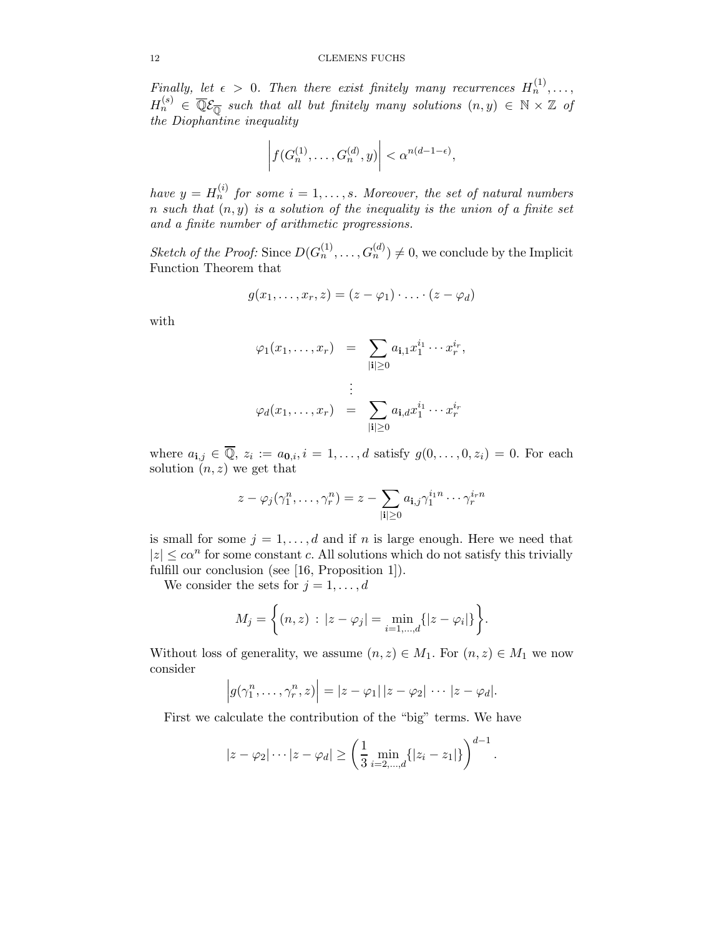Finally, let  $\epsilon > 0$ . Then there exist finitely many recurrences  $H_n^{(1)}, \ldots$ ,  $H_n^{(s)}$   $\in$   $\overline{\mathbb{Q}}\mathcal{E}_{\overline{\mathbb{Q}}}$  such that all but finitely many solutions  $(n, y) \in \mathbb{N} \times \mathbb{Z}$  of the Diophantine inequality

$$
\left| f(G_n^{(1)},\ldots,G_n^{(d)},y) \right| < \alpha^{n(d-1-\epsilon)},
$$

have  $y = H_n^{(i)}$  for some  $i = 1, \ldots, s$ . Moreover, the set of natural numbers n such that  $(n, y)$  is a solution of the inequality is the union of a finite set and a finite number of arithmetic progressions.

Sketch of the Proof: Since  $D(G_n^{(1)},...,G_n^{(d)}) \neq 0$ , we conclude by the Implicit Function Theorem that

$$
g(x_1,\ldots,x_r,z)=(z-\varphi_1)\cdot\ldots\cdot(z-\varphi_d)
$$

with

$$
\varphi_1(x_1,\ldots,x_r) = \sum_{|\mathbf{i}| \ge 0} a_{\mathbf{i},1} x_1^{i_1} \cdots x_r^{i_r},
$$
  

$$
\vdots
$$
  

$$
\varphi_d(x_1,\ldots,x_r) = \sum_{|\mathbf{i}| \ge 0} a_{\mathbf{i},d} x_1^{i_1} \cdots x_r^{i_r}
$$

where  $a_{i,j} \in \overline{Q}$ ,  $z_i := a_{0,i}, i = 1, \ldots, d$  satisfy  $g(0, \ldots, 0, z_i) = 0$ . For each solution  $(n, z)$  we get that

$$
z - \varphi_j(\gamma_1^n, \dots, \gamma_r^n) = z - \sum_{|\mathbf{i}| \ge 0} a_{\mathbf{i},j} \gamma_1^{i_1 n} \cdots \gamma_r^{i_r n}
$$

is small for some  $j = 1, \ldots, d$  and if n is large enough. Here we need that  $|z| \leq c\alpha^n$  for some constant c. All solutions which do not satisfy this trivially fulfill our conclusion (see [16, Proposition 1]).

We consider the sets for  $j = 1, \ldots, d$ 

$$
M_j = \left\{ (n, z) : |z - \varphi_j| = \min_{i=1,\dots,d} \{ |z - \varphi_i| \} \right\}.
$$

Without loss of generality, we assume  $(n, z) \in M_1$ . For  $(n, z) \in M_1$  we now consider

$$
|g(\gamma_1^n,\ldots,\gamma_r^n,z)|=|z-\varphi_1|\,|z-\varphi_2|\,\cdots\,|z-\varphi_d|.
$$

First we calculate the contribution of the "big" terms. We have

$$
|z - \varphi_2| \cdots |z - \varphi_d| \ge \left(\frac{1}{3} \min_{i=2,\dots,d} \{|z_i - z_1|\}\right)^{d-1}.
$$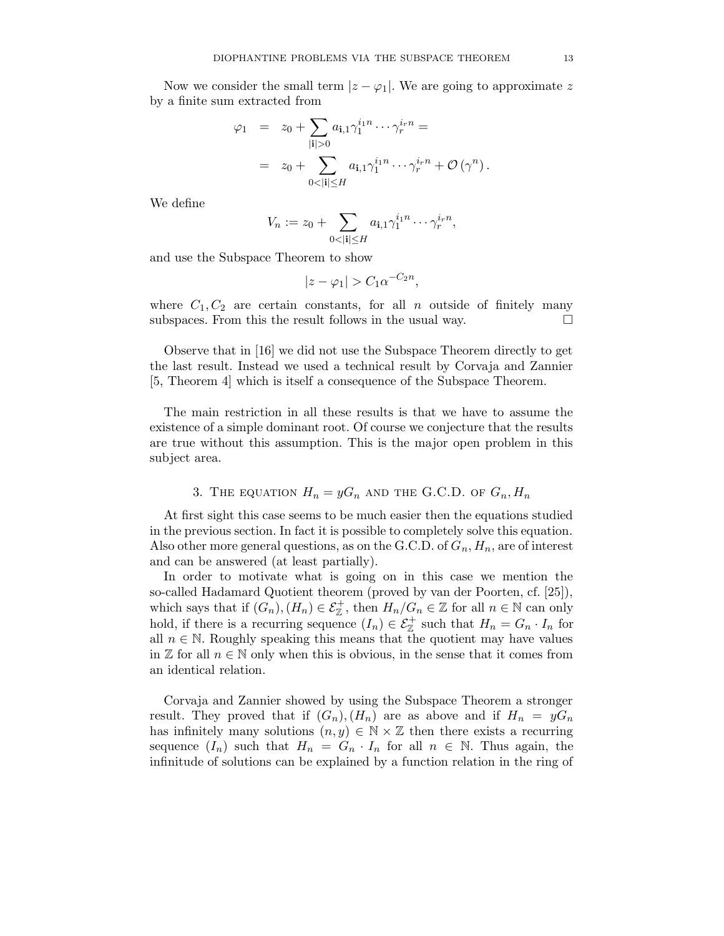Now we consider the small term  $|z - \varphi_1|$ . We are going to approximate z by a finite sum extracted from

$$
\varphi_1 = z_0 + \sum_{|\mathbf{i}|>0} a_{\mathbf{i},1} \gamma_1^{i_1 n} \cdots \gamma_r^{i_r n} =
$$
  
=  $z_0 + \sum_{0<|\mathbf{i}| \le H} a_{\mathbf{i},1} \gamma_1^{i_1 n} \cdots \gamma_r^{i_r n} + \mathcal{O}(\gamma^n).$ 

We define

$$
V_n := z_0 + \sum_{0 < |\mathbf{i}| \le H} a_{\mathbf{i},1} \gamma_1^{i_1 n} \cdots \gamma_r^{i_r n},
$$

and use the Subspace Theorem to show

$$
|z - \varphi_1| > C_1 \alpha^{-C_2 n},
$$

where  $C_1, C_2$  are certain constants, for all n outside of finitely many subspaces. From this the result follows in the usual way.  $\Box$ 

Observe that in [16] we did not use the Subspace Theorem directly to get the last result. Instead we used a technical result by Corvaja and Zannier [5, Theorem 4] which is itself a consequence of the Subspace Theorem.

The main restriction in all these results is that we have to assume the existence of a simple dominant root. Of course we conjecture that the results are true without this assumption. This is the major open problem in this subject area.

3. THE EQUATION 
$$
H_n = yG_n
$$
 AND THE G.C.D. OF  $G_n$ ,  $H_n$ 

At first sight this case seems to be much easier then the equations studied in the previous section. In fact it is possible to completely solve this equation. Also other more general questions, as on the G.C.D. of  $G_n$ ,  $H_n$ , are of interest and can be answered (at least partially).

In order to motivate what is going on in this case we mention the so-called Hadamard Quotient theorem (proved by van der Poorten, cf. [25]), which says that if  $(G_n)$ ,  $(H_n) \in \mathcal{E}_{\mathbb{Z}}^+$ , then  $H_n/G_n \in \mathbb{Z}$  for all  $n \in \mathbb{N}$  can only hold, if there is a recurring sequence  $(I_n) \in \mathcal{E}_{\mathbb{Z}}^+$  such that  $H_n = G_n \cdot I_n$  for all  $n \in \mathbb{N}$ . Roughly speaking this means that the quotient may have values in  $\mathbb Z$  for all  $n \in \mathbb N$  only when this is obvious, in the sense that it comes from an identical relation.

Corvaja and Zannier showed by using the Subspace Theorem a stronger result. They proved that if  $(G_n), (H_n)$  are as above and if  $H_n = yG_n$ has infinitely many solutions  $(n, y) \in \mathbb{N} \times \mathbb{Z}$  then there exists a recurring sequence  $(I_n)$  such that  $H_n = G_n \cdot I_n$  for all  $n \in \mathbb{N}$ . Thus again, the infinitude of solutions can be explained by a function relation in the ring of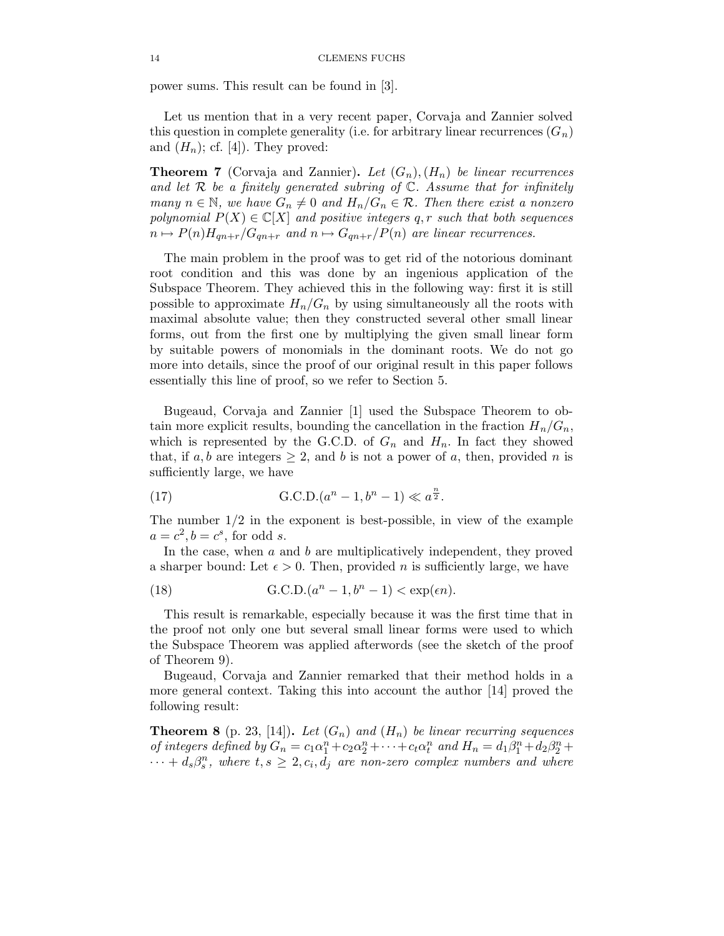power sums. This result can be found in [3].

Let us mention that in a very recent paper, Corvaja and Zannier solved this question in complete generality (i.e. for arbitrary linear recurrences  $(G_n)$ ) and  $(H_n)$ ; cf. [4]). They proved:

**Theorem 7** (Corvaja and Zannier). Let  $(G_n)$ ,  $(H_n)$  be linear recurrences and let  $R$  be a finitely generated subring of  $\mathbb{C}$ . Assume that for infinitely many  $n \in \mathbb{N}$ , we have  $G_n \neq 0$  and  $H_n/G_n \in \mathcal{R}$ . Then there exist a nonzero polynomial  $P(X) \in \mathbb{C}[X]$  and positive integers q, r such that both sequences  $n \mapsto P(n)H_{qn+r}/G_{qn+r}$  and  $n \mapsto G_{qn+r}/P(n)$  are linear recurrences.

The main problem in the proof was to get rid of the notorious dominant root condition and this was done by an ingenious application of the Subspace Theorem. They achieved this in the following way: first it is still possible to approximate  $H_n/G_n$  by using simultaneously all the roots with maximal absolute value; then they constructed several other small linear forms, out from the first one by multiplying the given small linear form by suitable powers of monomials in the dominant roots. We do not go more into details, since the proof of our original result in this paper follows essentially this line of proof, so we refer to Section 5.

Bugeaud, Corvaja and Zannier [1] used the Subspace Theorem to obtain more explicit results, bounding the cancellation in the fraction  $H_n/G_n$ , which is represented by the G.C.D. of  $G_n$  and  $H_n$ . In fact they showed that, if a, b are integers  $\geq 2$ , and b is not a power of a, then, provided n is sufficiently large, we have

(17) 
$$
G.C.D.(an - 1, bn - 1) \ll a^{\frac{n}{2}}.
$$

The number  $1/2$  in the exponent is best-possible, in view of the example  $a = c^2, b = c^s$ , for odd s.

In the case, when a and b are multiplicatively independent, they proved a sharper bound: Let  $\epsilon > 0$ . Then, provided *n* is sufficiently large, we have

(18) 
$$
G.C.D.(an - 1, bn - 1) < exp(\epsilon n).
$$

This result is remarkable, especially because it was the first time that in the proof not only one but several small linear forms were used to which the Subspace Theorem was applied afterwords (see the sketch of the proof of Theorem 9).

Bugeaud, Corvaja and Zannier remarked that their method holds in a more general context. Taking this into account the author [14] proved the following result:

**Theorem 8** (p. 23, [14]). Let  $(G_n)$  and  $(H_n)$  be linear recurring sequences of integers defined by  $G_n = c_1 \alpha_1^n + c_2 \alpha_2^n + \cdots + c_t \alpha_t^n$  and  $H_n = d_1 \beta_1^n + d_2 \beta_2^n +$  $\cdots + d_s \beta_s^n$ , where  $t, s \geq 2, c_i, d_j$  are non-zero complex numbers and where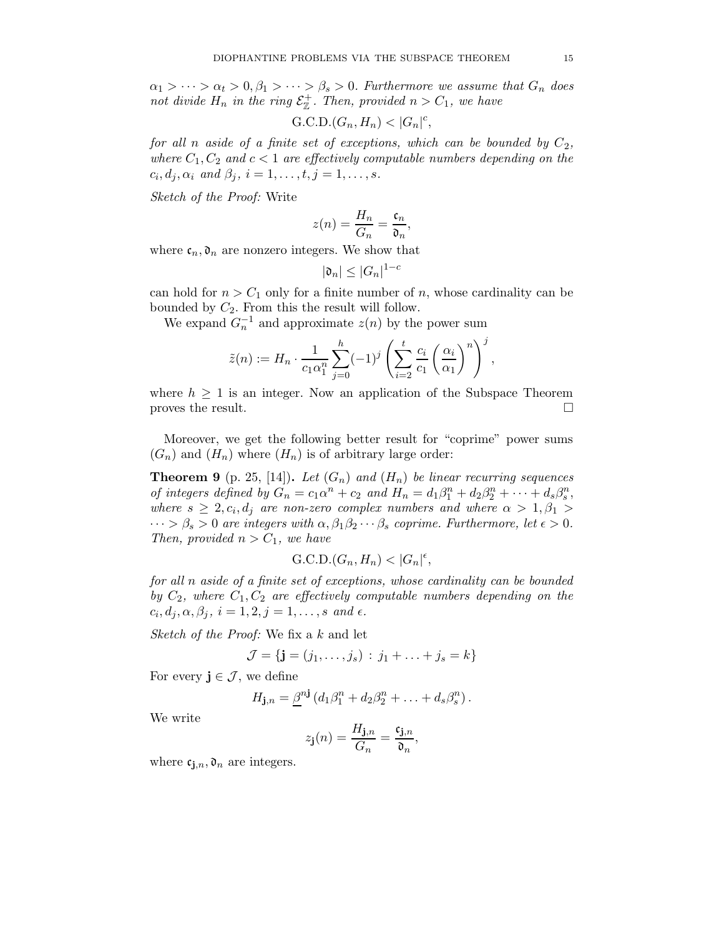$\alpha_1 > \cdots > \alpha_t > 0, \beta_1 > \cdots > \beta_s > 0$ . Furthermore we assume that  $G_n$  does not divide  $H_n$  in the ring  $\mathcal{E}_{\mathbb{Z}}^+$ . Then, provided  $n > C_1$ , we have

$$
\mathrm{G.C.D.}(G_n, H_n) < |G_n|^c
$$

for all n aside of a finite set of exceptions, which can be bounded by  $C_2$ , where  $C_1, C_2$  and  $c < 1$  are effectively computable numbers depending on the  $c_i, d_j, \alpha_i$  and  $\beta_j$ ,  $i = 1, \ldots, t, j = 1, \ldots, s$ .

Sketch of the Proof: Write

$$
z(n)=\frac{H_n}{G_n}=\frac{\mathfrak{c}_n}{\mathfrak{d}_n},
$$

where  $\mathfrak{c}_n, \mathfrak{d}_n$  are nonzero integers. We show that

$$
|\mathfrak{d}_n| \leq |G_n|^{1-c}
$$

can hold for  $n > C_1$  only for a finite number of n, whose cardinality can be bounded by  $C_2$ . From this the result will follow.

We expand  $G_n^{-1}$  and approximate  $z(n)$  by the power sum

$$
\tilde{z}(n) := H_n \cdot \frac{1}{c_1 \alpha_1^n} \sum_{j=0}^h (-1)^j \left( \sum_{i=2}^t \frac{c_i}{c_1} \left( \frac{\alpha_i}{\alpha_1} \right)^n \right)^j,
$$

where  $h \geq 1$  is an integer. Now an application of the Subspace Theorem proves the result.

Moreover, we get the following better result for "coprime" power sums  $(G_n)$  and  $(H_n)$  where  $(H_n)$  is of arbitrary large order:

**Theorem 9** (p. 25, [14]). Let  $(G_n)$  and  $(H_n)$  be linear recurring sequences of integers defined by  $G_n = c_1 \alpha^n + c_2$  and  $H_n = d_1 \beta_1^n + d_2 \beta_2^n + \cdots + d_s \beta_s^n$ , where  $s \geq 2, c_i, d_j$  are non-zero complex numbers and where  $\alpha > 1, \beta_1 >$  $\cdots > \beta_s > 0$  are integers with  $\alpha, \beta_1 \beta_2 \cdots \beta_s$  coprime. Furthermore, let  $\epsilon > 0$ . Then, provided  $n > C_1$ , we have

$$
\mathrm{G.C.D.}(G_n, H_n) < |G_n|^{\epsilon},
$$

for all n aside of a finite set of exceptions, whose cardinality can be bounded by  $C_2$ , where  $C_1, C_2$  are effectively computable numbers depending on the  $c_i, d_j, \alpha, \beta_j, i = 1, 2, j = 1, \ldots, s \text{ and } \epsilon.$ 

Sketch of the Proof: We fix a k and let

$$
\mathcal{J} = \{ \mathbf{j} = (j_1, \dots, j_s) : j_1 + \dots + j_s = k \}
$$

For every  $\mathbf{j} \in \mathcal{J}$ , we define

$$
H_{\mathbf{j},n} = \underline{\beta}^{n\mathbf{j}} \left( d_1 \beta_1^n + d_2 \beta_2^n + \ldots + d_s \beta_s^n \right).
$$

We write

$$
z_{\mathbf{j}}(n) = \frac{H_{\mathbf{j},n}}{G_n} = \frac{\mathfrak{c}_{\mathbf{j},n}}{\mathfrak{d}_n},
$$

where  $c_{i,n}, \mathfrak{d}_n$  are integers.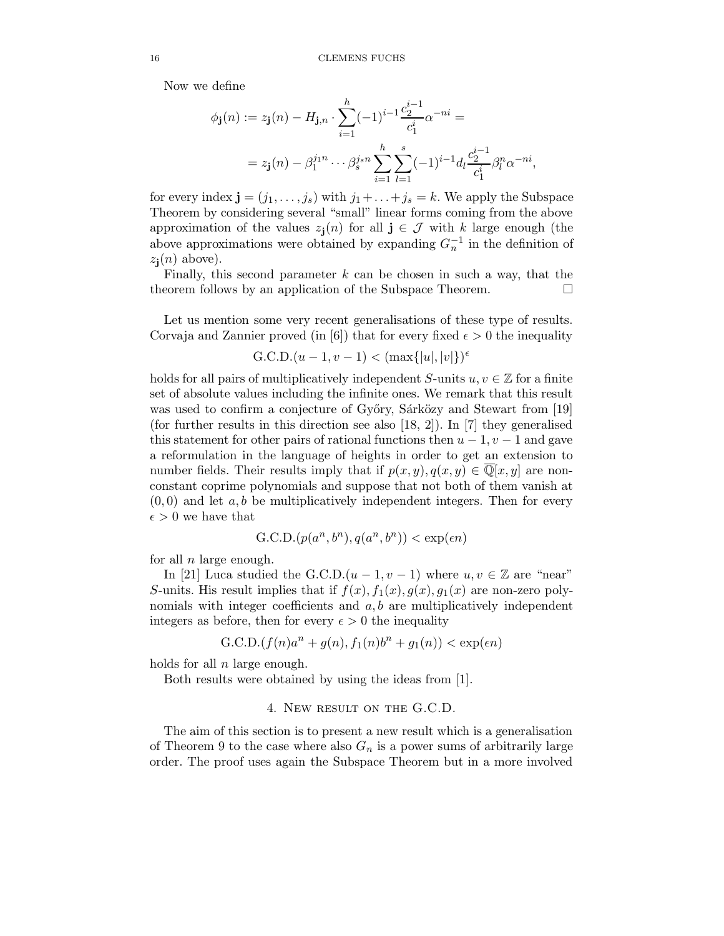Now we define

$$
\phi_{\mathbf{j}}(n) := z_{\mathbf{j}}(n) - H_{\mathbf{j},n} \cdot \sum_{i=1}^{h} (-1)^{i-1} \frac{c_2^{i-1}}{c_1^i} \alpha^{-ni} =
$$
  
=  $z_{\mathbf{j}}(n) - \beta_1^{j_1 n} \cdots \beta_s^{j_s n} \sum_{i=1}^{h} \sum_{l=1}^{s} (-1)^{i-1} d_l \frac{c_2^{i-1}}{c_1^i} \beta_l^n \alpha^{-ni},$ 

for every index  $\mathbf{j} = (j_1, \ldots, j_s)$  with  $j_1 + \ldots + j_s = k$ . We apply the Subspace Theorem by considering several "small" linear forms coming from the above approximation of the values  $z_j(n)$  for all  $j \in \mathcal{J}$  with k large enough (the above approximations were obtained by expanding  $G_n^{-1}$  in the definition of  $z_i(n)$  above).

Finally, this second parameter  $k$  can be chosen in such a way, that the theorem follows by an application of the Subspace Theorem.

Let us mention some very recent generalisations of these type of results. Corvaja and Zannier proved (in [6]) that for every fixed  $\epsilon > 0$  the inequality

$$
G.C.D.(u-1, v-1) < (max\{|u|, |v|\})^{\epsilon}
$$

holds for all pairs of multiplicatively independent S-units  $u, v \in \mathbb{Z}$  for a finite set of absolute values including the infinite ones. We remark that this result was used to confirm a conjecture of Győry, Sárközy and Stewart from [19] (for further results in this direction see also [18, 2]). In [7] they generalised this statement for other pairs of rational functions then  $u - 1$ ,  $v - 1$  and gave a reformulation in the language of heights in order to get an extension to number fields. Their results imply that if  $p(x, y), q(x, y) \in \overline{\mathbb{Q}}[x, y]$  are nonconstant coprime polynomials and suppose that not both of them vanish at  $(0,0)$  and let a, b be multiplicatively independent integers. Then for every  $\epsilon > 0$  we have that

$$
G.C.D.(p(a^n, b^n), q(a^n, b^n)) < \exp(\epsilon n)
$$

for all  $n$  large enough.

In [21] Luca studied the G.C.D. $(u-1, v-1)$  where  $u, v \in \mathbb{Z}$  are "near" S-units. His result implies that if  $f(x)$ ,  $f_1(x)$ ,  $g(x)$ ,  $g_1(x)$  are non-zero polynomials with integer coefficients and  $a, b$  are multiplicatively independent integers as before, then for every  $\epsilon > 0$  the inequality

$$
G.C.D.(f(n)an + g(n), f1(n)bn + g1(n)) < \exp(\epsilon n)
$$

holds for all  $n$  large enough.

Both results were obtained by using the ideas from [1].

## 4. New result on the G.C.D.

The aim of this section is to present a new result which is a generalisation of Theorem 9 to the case where also  $G_n$  is a power sums of arbitrarily large order. The proof uses again the Subspace Theorem but in a more involved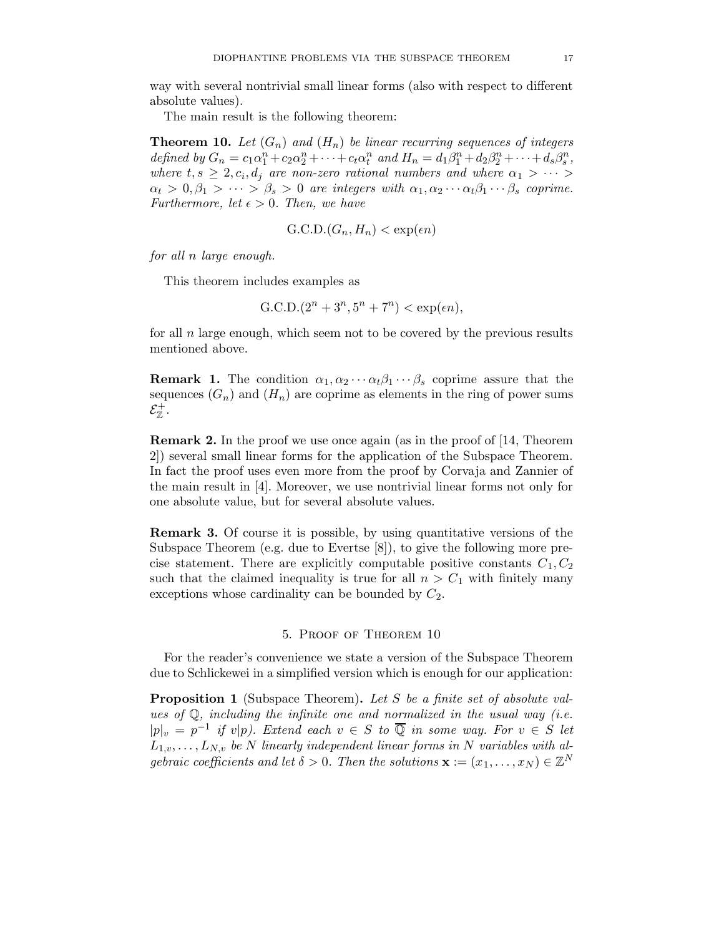way with several nontrivial small linear forms (also with respect to different absolute values).

The main result is the following theorem:

**Theorem 10.** Let  $(G_n)$  and  $(H_n)$  be linear recurring sequences of integers defined by  $G_n = c_1 \alpha_1^n + c_2 \alpha_2^n + \cdots + c_t \alpha_t^n$  and  $H_n = d_1 \beta_1^n + d_2 \beta_2^n + \cdots + d_s \beta_s^n$ , where  $t, s \geq 2, c_i, d_j$  are non-zero rational numbers and where  $\alpha_1 > \cdots >$  $\alpha_t > 0, \beta_1 > \cdots > \beta_s > 0$  are integers with  $\alpha_1, \alpha_2 \cdots \alpha_t \beta_1 \cdots \beta_s$  coprime. Furthermore, let  $\epsilon > 0$ . Then, we have

$$
\text{G.C.D.}(G_n, H_n) < \exp(\epsilon n)
$$

for all n large enough.

This theorem includes examples as

$$
G.C.D.(2n + 3n, 5n + 7n) < \exp(\epsilon n),
$$

for all  $n$  large enough, which seem not to be covered by the previous results mentioned above.

**Remark 1.** The condition  $\alpha_1, \alpha_2 \cdots \alpha_t \beta_1 \cdots \beta_s$  coprime assure that the sequences  $(G_n)$  and  $(H_n)$  are coprime as elements in the ring of power sums  $\mathcal{E}^+_\mathbb{Z}$  .

Remark 2. In the proof we use once again (as in the proof of [14, Theorem 2]) several small linear forms for the application of the Subspace Theorem. In fact the proof uses even more from the proof by Corvaja and Zannier of the main result in [4]. Moreover, we use nontrivial linear forms not only for one absolute value, but for several absolute values.

Remark 3. Of course it is possible, by using quantitative versions of the Subspace Theorem (e.g. due to Evertse [8]), to give the following more precise statement. There are explicitly computable positive constants  $C_1, C_2$ such that the claimed inequality is true for all  $n > C_1$  with finitely many exceptions whose cardinality can be bounded by  $C_2$ .

### 5. Proof of Theorem 10

For the reader's convenience we state a version of the Subspace Theorem due to Schlickewei in a simplified version which is enough for our application:

Proposition 1 (Subspace Theorem). Let S be a finite set of absolute values of  $\mathbb{Q}$ , including the infinite one and normalized in the usual way (i.e.  $|p|_v = p^{-1}$  if  $v|p$ ). Extend each  $v \in S$  to  $\overline{Q}$  in some way. For  $v \in S$  let  $L_{1,v}, \ldots, L_{N,v}$  be N linearly independent linear forms in N variables with algebraic coefficients and let  $\delta > 0$ . Then the solutions  $\mathbf{x} := (x_1, \dots, x_N) \in \mathbb{Z}^N$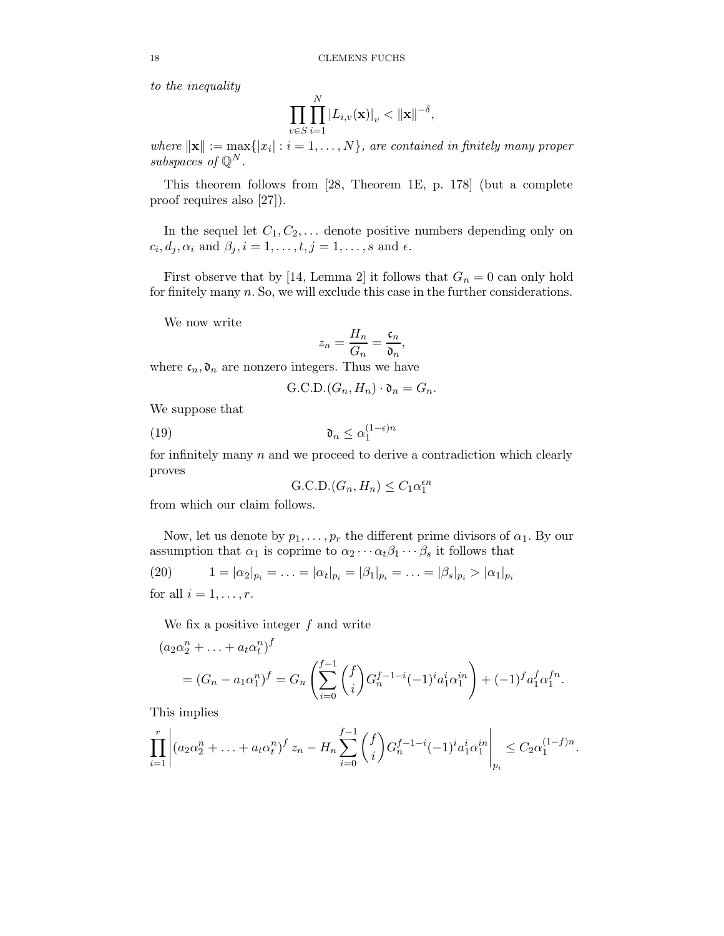to the inequality

$$
\prod_{v \in S} \prod_{i=1}^N \left| L_{i,v}(\mathbf{x}) \right|_v < \| \mathbf{x} \|^{-\delta},
$$

where  $\|\mathbf{x}\| := \max\{|x_i| : i = 1, ..., N\}$ , are contained in finitely many proper subspaces of  $\mathbb{Q}^N$ .

This theorem follows from [28, Theorem 1E, p. 178] (but a complete proof requires also [27]).

In the sequel let  $C_1, C_2, \ldots$  denote positive numbers depending only on  $c_i, d_j, \alpha_i$  and  $\beta_j, i = 1, \ldots, t, j = 1, \ldots, s$  and  $\epsilon$ .

First observe that by [14, Lemma 2] it follows that  $G_n = 0$  can only hold for finitely many n. So, we will exclude this case in the further considerations.

We now write

$$
z_n = \frac{H_n}{G_n} = \frac{\mathfrak{c}_n}{\mathfrak{d}_n},
$$

where  $\mathfrak{c}_n, \mathfrak{d}_n$  are nonzero integers. Thus we have

$$
\text{G.C.D.}(G_n, H_n) \cdot \mathfrak{d}_n = G_n.
$$

We suppose that

(19) 
$$
\mathfrak{d}_n \leq \alpha_1^{(1-\epsilon)n}
$$

for infinitely many  $n$  and we proceed to derive a contradiction which clearly proves

$$
\text{G.C.D.}(G_n, H_n) \le C_1 \alpha_1^{\epsilon n}
$$

from which our claim follows.

Now, let us denote by  $p_1, \ldots, p_r$  the different prime divisors of  $\alpha_1$ . By our assumption that  $\alpha_1$  is coprime to  $\alpha_2 \cdots \alpha_t \beta_1 \cdots \beta_s$  it follows that

(20) 
$$
1 = |\alpha_2|_{p_i} = \ldots = |\alpha_t|_{p_i} = |\beta_1|_{p_i} = \ldots = |\beta_s|_{p_i} > |\alpha_1|_{p_i}
$$

for all  $i = 1, \ldots, r$ .

We fix a positive integer  $f$  and write

$$
(a_2\alpha_2^n + \dots + a_t\alpha_t^n)^f
$$
  
=  $(G_n - a_1\alpha_1^n)^f$  =  $G_n \left(\sum_{i=0}^{f-1} {f \choose i} G_n^{f-1-i} (-1)^i a_1^i \alpha_1^{in} \right) + (-1)^f a_1^f \alpha_1^{fn}$ .

This implies

$$
\prod_{i=1}^r \left| (a_2 \alpha_2^n + \ldots + a_t \alpha_t^n)^f z_n - H_n \sum_{i=0}^{f-1} {f \choose i} G_n^{f-1-i} (-1)^i a_1^i \alpha_1^{in} \right|_{p_i} \le C_2 \alpha_1^{(1-f)n}.
$$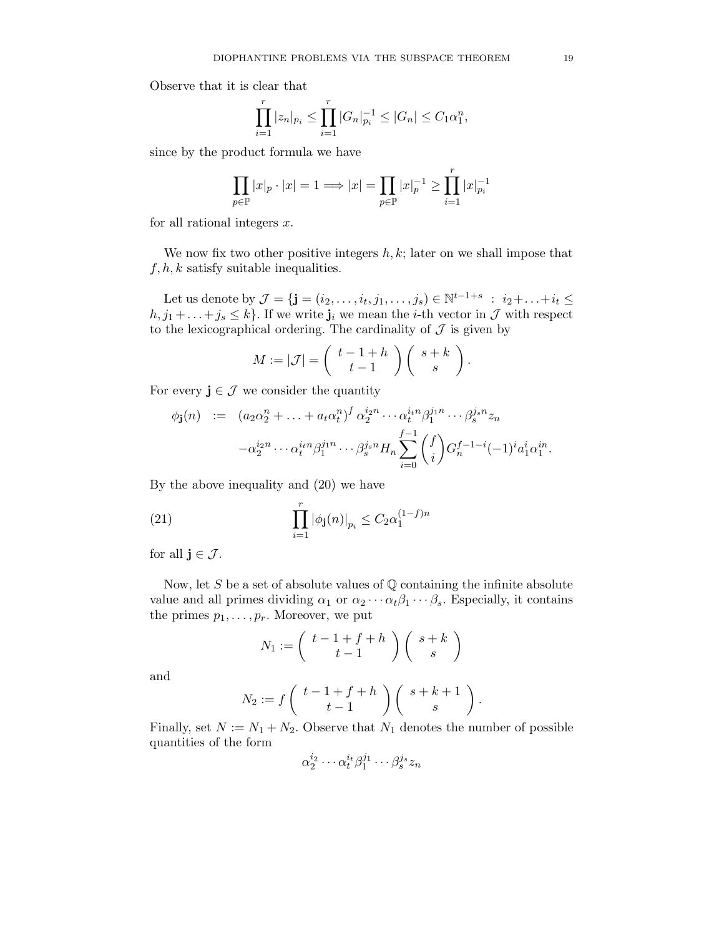Observe that it is clear that

$$
\prod_{i=1}^r |z_n|_{p_i} \le \prod_{i=1}^r |G_n|_{p_i}^{-1} \le |G_n| \le C_1 \alpha_1^n,
$$

since by the product formula we have

$$
\prod_{p\in\mathbb{P}}|x|_p\cdot|x|=1\Longrightarrow |x|=\prod_{p\in\mathbb{P}}|x|_p^{-1}\geq \prod_{i=1}^r|x|_{p_i}^{-1}
$$

for all rational integers  $x$ .

We now fix two other positive integers  $h, k$ ; later on we shall impose that  $f, h, k$  satisfy suitable inequalities.

Let us denote by  $\mathcal{J} = \{ \mathbf{j} = (i_2, \ldots, i_t, j_1, \ldots, j_s) \in \mathbb{N}^{t-1+s} \; : \; i_2 + \ldots + i_t \leq t \}$  $h, j_1 + \ldots + j_s \leq k$ . If we write  $\mathbf{j}_i$  we mean the *i*-th vector in  $\mathcal{J}$  with respect to the lexicographical ordering. The cardinality of  $\mathcal J$  is given by

$$
M := |\mathcal{J}| = \left(\begin{array}{c} t-1+h \\ t-1 \end{array}\right) \left(\begin{array}{c} s+k \\ s \end{array}\right).
$$

For every  $\mathbf{j} \in \mathcal{J}$  we consider the quantity

$$
\begin{array}{rcl}\n\phi_{\mathbf{j}}(n) & := & (a_2 \alpha_2^n + \ldots + a_t \alpha_t^n)^f \alpha_2^{i_2 n} \cdots \alpha_t^{i_t n} \beta_1^{j_1 n} \cdots \beta_s^{j_s n} z_n \\
& & -\alpha_2^{i_2 n} \cdots \alpha_t^{i_t n} \beta_1^{j_1 n} \cdots \beta_s^{j_s n} H_n \sum_{i=0}^{f-1} \binom{f}{i} G_n^{f-1-i} (-1)^i a_1^i \alpha_1^{i n}.\n\end{array}
$$

By the above inequality and (20) we have

(21) 
$$
\prod_{i=1}^{r} |\phi_{\mathbf{j}}(n)|_{p_i} \leq C_2 \alpha_1^{(1-f)n}
$$

for all  $j \in \mathcal{J}$ .

Now, let  $S$  be a set of absolute values of  $\mathbb Q$  containing the infinite absolute value and all primes dividing  $\alpha_1$  or  $\alpha_2 \cdots \alpha_t \beta_1 \cdots \beta_s$ . Especially, it contains the primes  $p_1, \ldots, p_r$ . Moreover, we put

$$
N_1 := \left(\begin{array}{c} t-1+f+h \\ t-1 \end{array}\right) \left(\begin{array}{c} s+k \\ s \end{array}\right)
$$

and

$$
N_2 := f\left(\begin{array}{c}t-1+f+h\\t-1\end{array}\right)\left(\begin{array}{c}s+k+1\\s\end{array}\right).
$$

Finally, set  $N := N_1 + N_2$ . Observe that  $N_1$  denotes the number of possible quantities of the form

$$
\alpha_2^{i_2} \cdots \alpha_t^{i_t} \beta_1^{j_1} \cdots \beta_s^{j_s} z_n
$$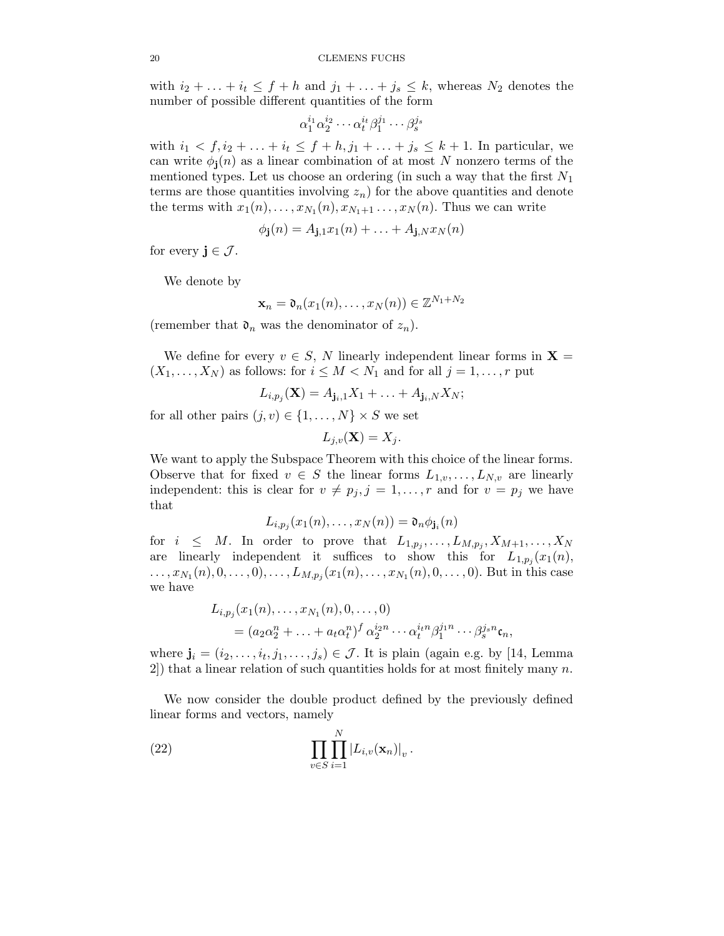with  $i_2 + \ldots + i_t \leq f + h$  and  $j_1 + \ldots + j_s \leq k$ , whereas  $N_2$  denotes the number of possible different quantities of the form

$$
\alpha_1^{i_1}\alpha_2^{i_2}\cdots \alpha_t^{i_t}\beta_1^{j_1}\cdots \beta_s^{j_s}
$$

with  $i_1 < f, i_2 + ... + i_t \leq f + h, j_1 + ... + j_s \leq k + 1$ . In particular, we can write  $\phi_i(n)$  as a linear combination of at most N nonzero terms of the mentioned types. Let us choose an ordering (in such a way that the first  $N_1$ terms are those quantities involving  $z_n$ ) for the above quantities and denote the terms with  $x_1(n), \ldots, x_{N_1}(n), x_{N_1+1}, \ldots, x_N(n)$ . Thus we can write

$$
\phi_{\mathbf{j}}(n) = A_{\mathbf{j},1}x_1(n) + \ldots + A_{\mathbf{j},N}x_N(n)
$$

for every  $\mathbf{j} \in \mathcal{J}$ .

We denote by

$$
\mathbf{x}_n = \mathfrak{d}_n(x_1(n), \dots, x_N(n)) \in \mathbb{Z}^{N_1 + N_2}
$$

(remember that  $\mathfrak{d}_n$  was the denominator of  $z_n$ ).

We define for every  $v \in S$ , N linearly independent linear forms in  $X =$  $(X_1, \ldots, X_N)$  as follows: for  $i \leq M < N_1$  and for all  $j = 1, \ldots, r$  put

$$
L_{i,p_j}(\mathbf{X})=A_{\mathbf{j}_i,1}X_1+\ldots+A_{\mathbf{j}_i,N}X_N;
$$

for all other pairs  $(j, v) \in \{1, ..., N\} \times S$  we set

$$
L_{j,v}(\mathbf{X}) = X_j.
$$

We want to apply the Subspace Theorem with this choice of the linear forms. Observe that for fixed  $v \in S$  the linear forms  $L_{1,v}, \ldots, L_{N,v}$  are linearly independent: this is clear for  $v \neq p_j$ ,  $j = 1, ..., r$  and for  $v = p_j$  we have that

$$
L_{i,p_j}(x_1(n),\ldots,x_N(n))=\mathfrak{d}_n\phi_{\mathbf{j}_i}(n)
$$

for  $i \leq M$ . In order to prove that  $L_{1,p_j}, \ldots, L_{M,p_j}, X_{M+1}, \ldots, X_N$ are linearly independent it suffices to show this for  $L_{1,p_j}(x_1(n))$ ,  $\dots, x_{N_1}(n), 0, \dots, 0), \dots, L_{M,p_j}(x_1(n), \dots, x_{N_1}(n), 0, \dots, 0).$  But in this case we have

$$
L_{i,p_j}(x_1(n),...,x_{N_1}(n),0,...,0)
$$
  
=  $(a_2\alpha_2^n + ... + a_t\alpha_t^n)^f \alpha_2^{i_2n} \cdots \alpha_t^{i_t n} \beta_1^{j_1n} \cdots \beta_s^{j_s n} \mathfrak{c}_n,$ 

where  $\mathbf{j}_i = (i_2, \ldots, i_t, j_1, \ldots, j_s) \in \mathcal{J}$ . It is plain (again e.g. by [14, Lemma 2) that a linear relation of such quantities holds for at most finitely many  $n$ .

We now consider the double product defined by the previously defined linear forms and vectors, namely

(22) 
$$
\prod_{v \in S} \prod_{i=1}^N |L_{i,v}(\mathbf{x}_n)|_v.
$$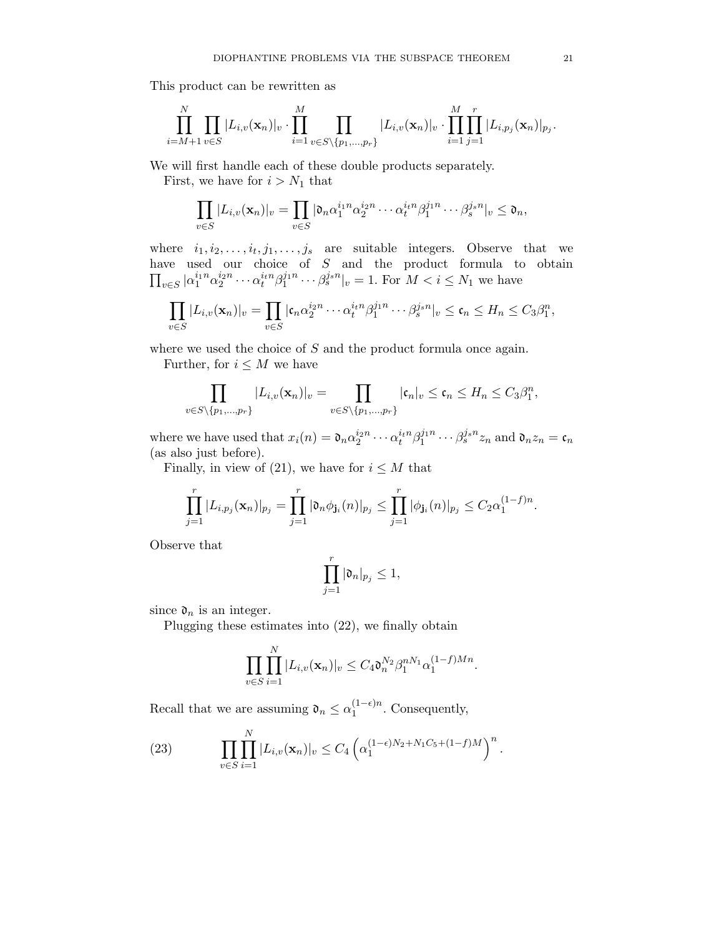This product can be rewritten as

$$
\prod_{i=M+1}^{N} \prod_{v \in S} |L_{i,v}(\mathbf{x}_n)|_v \cdot \prod_{i=1}^{M} \prod_{v \in S \setminus \{p_1, \dots, p_r\}} |L_{i,v}(\mathbf{x}_n)|_v \cdot \prod_{i=1}^{M} \prod_{j=1}^r |L_{i,p_j}(\mathbf{x}_n)|_{p_j}.
$$

We will first handle each of these double products separately.

First, we have for  $i > N_1$  that

$$
\prod_{v\in S}|L_{i,v}(\mathbf{x}_n)|_v=\prod_{v\in S}|\mathfrak{d}_n\alpha_1^{i_1n}\alpha_2^{i_2n}\cdots\alpha_t^{i_tn}\beta_1^{j_1n}\cdots\beta_s^{j_sn}|_v\leq\mathfrak{d}_n,
$$

where  $i_1, i_2, \ldots, i_t, j_1, \ldots, j_s$  are suitable integers. Observe that we have used our choice of S and the product formula to obtain  $\prod_{v \in S} |\alpha_1^{i_1n} \alpha_2^{i_2n} \cdots \alpha_t^{i_tn} \beta_1^{j_1n} \cdots \beta_s^{j_s n}|_v = 1$ . For  $M < i \le N_1$  we have

$$
\prod_{v\in S}|L_{i,v}(\mathbf{x}_n)|_v=\prod_{v\in S}|\mathfrak{c}_n\alpha_2^{i_2n}\cdots\alpha_t^{i_t n}\beta_1^{j_1n}\cdots\beta_s^{j_s n}|_v\leq\mathfrak{c}_n\leq H_n\leq C_3\beta_1^n,
$$

where we used the choice of S and the product formula once again.

Further, for  $i \leq M$  we have

$$
\prod_{v\in S\setminus\{p_1,\ldots,p_r\}}|L_{i,v}(\mathbf{x}_n)|_v=\prod_{v\in S\setminus\{p_1,\ldots,p_r\}}|\mathfrak{c}_n|_v\leq\mathfrak{c}_n\leq H_n\leq C_3\beta_1^n,
$$

where we have used that  $x_i(n) = \mathfrak{d}_n \alpha_2^{i_2 n} \cdots \alpha_t^{i_t n} \beta_1^{j_1 n} \cdots \beta_s^{j_s n} z_n$  and  $\mathfrak{d}_n z_n = \mathfrak{c}_n$ (as also just before).

Finally, in view of (21), we have for  $i \leq M$  that

$$
\prod_{j=1}^r |L_{i,p_j}(\mathbf{x}_n)|_{p_j} = \prod_{j=1}^r |\mathfrak{d}_n \phi_{\mathbf{j}_i}(n)|_{p_j} \le \prod_{j=1}^r |\phi_{\mathbf{j}_i}(n)|_{p_j} \le C_2 \alpha_1^{(1-f)n}.
$$

Observe that

$$
\prod_{j=1}^r |\mathfrak{d}_n|_{p_j}\leq 1,
$$

since  $\mathfrak{d}_n$  is an integer.

Plugging these estimates into (22), we finally obtain

$$
\prod_{v \in S} \prod_{i=1}^N |L_{i,v}(\mathbf{x}_n)|_v \le C_4 \mathfrak{d}_n^{N_2} \beta_1^{nN_1} \alpha_1^{(1-f)Mn}.
$$

Recall that we are assuming  $\mathfrak{d}_n \leq \alpha_1^{(1-\epsilon)n}$  $1^{1-\epsilon/n}$ . Consequently,

(23) 
$$
\prod_{v \in S} \prod_{i=1}^N |L_{i,v}(\mathbf{x}_n)|_v \leq C_4 \left( \alpha_1^{(1-\epsilon)N_2 + N_1C_5 + (1-f)M} \right)^n.
$$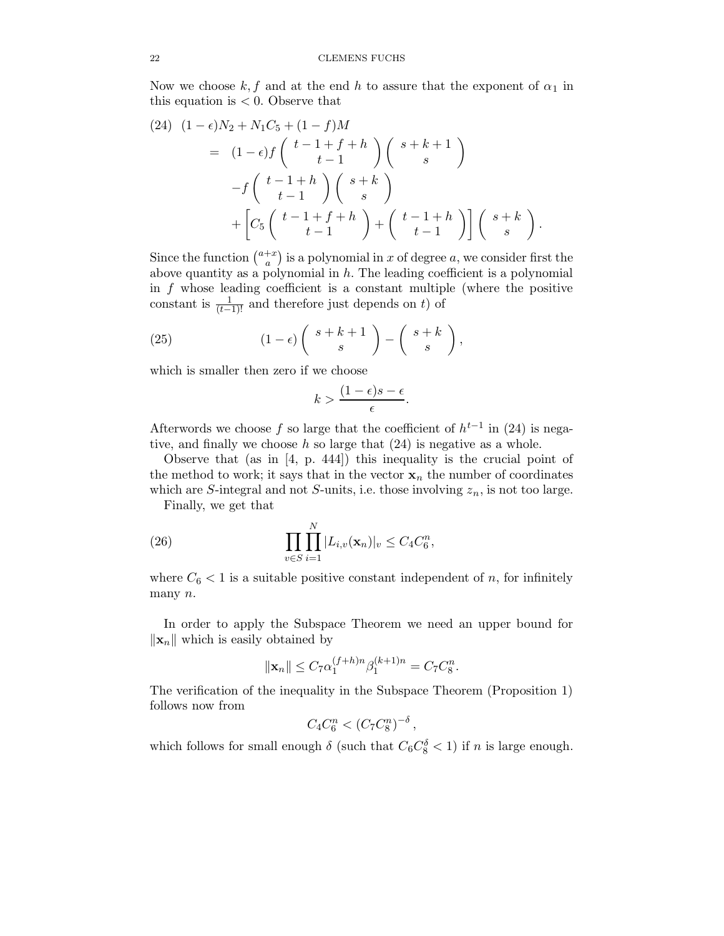Now we choose k, f and at the end h to assure that the exponent of  $\alpha_1$  in this equation is  $< 0$ . Observe that

$$
(24) \quad (1 - \epsilon)N_2 + N_1C_5 + (1 - f)M
$$
  
=  $(1 - \epsilon)f\left(\begin{array}{c}t - 1 + f + h\\t - 1\end{array}\right)\left(\begin{array}{c}s + k + 1\\s\end{array}\right)$   
-  $f\left(\begin{array}{c}t - 1 + h\\t - 1\end{array}\right)\left(\begin{array}{c}s + k\\s\end{array}\right)$   
+  $\left[C_5\left(\begin{array}{c}t - 1 + f + h\\t - 1\end{array}\right) + \left(\begin{array}{c}t - 1 + h\\t - 1\end{array}\right)\right]\left(\begin{array}{c}s + k\\s\end{array}\right).$ 

Since the function  $\binom{a+x}{a}$  $\binom{+x}{a}$  is a polynomial in x of degree a, we consider first the above quantity as a polynomial in  $h$ . The leading coefficient is a polynomial in  $f$  whose leading coefficient is a constant multiple (where the positive constant is  $\frac{1}{(t-1)!}$  and therefore just depends on t) of

(25) 
$$
(1 - \epsilon) \left( \begin{array}{c} s + k + 1 \\ s \end{array} \right) - \left( \begin{array}{c} s + k \\ s \end{array} \right),
$$

which is smaller then zero if we choose

$$
k > \frac{(1-\epsilon)s - \epsilon}{\epsilon}.
$$

Afterwords we choose f so large that the coefficient of  $h^{t-1}$  in (24) is negative, and finally we choose  $h$  so large that  $(24)$  is negative as a whole.

Observe that (as in [4, p. 444]) this inequality is the crucial point of the method to work; it says that in the vector  $x_n$  the number of coordinates which are S-integral and not S-units, i.e. those involving  $z_n$ , is not too large.

Finally, we get that

(26) 
$$
\prod_{v \in S} \prod_{i=1}^{N} |L_{i,v}(\mathbf{x}_n)|_v \le C_4 C_6^n,
$$

where  $C_6 < 1$  is a suitable positive constant independent of n, for infinitely many n.

In order to apply the Subspace Theorem we need an upper bound for  $\|\mathbf{x}_n\|$  which is easily obtained by

$$
\|\mathbf{x}_n\| \le C_7 \alpha_1^{(f+h)n} \beta_1^{(k+1)n} = C_7 C_8^n.
$$

The verification of the inequality in the Subspace Theorem (Proposition 1) follows now from

$$
C_4 C_6^n < (C_7 C_8^n)^{-\delta},
$$

which follows for small enough  $\delta$  (such that  $C_6 C_8^{\delta} < 1$ ) if n is large enough.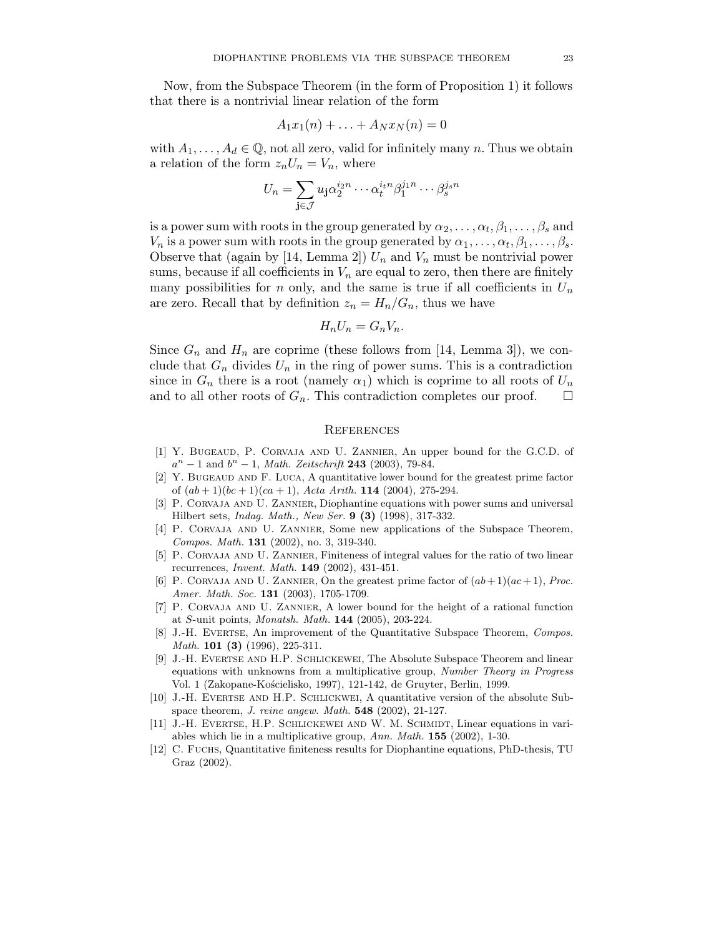Now, from the Subspace Theorem (in the form of Proposition 1) it follows that there is a nontrivial linear relation of the form

$$
A_1x_1(n) + \ldots + A_Nx_N(n) = 0
$$

with  $A_1, \ldots, A_d \in \mathbb{Q}$ , not all zero, valid for infinitely many n. Thus we obtain a relation of the form  $z_nU_n = V_n$ , where

$$
U_n = \sum_{\mathbf{j} \in \mathcal{J}} u_{\mathbf{j}} \alpha_2^{i_2 n} \cdots \alpha_t^{i_t n} \beta_1^{j_1 n} \cdots \beta_s^{j_s n}
$$

is a power sum with roots in the group generated by  $\alpha_2, \ldots, \alpha_t, \beta_1, \ldots, \beta_s$  and  $V_n$  is a power sum with roots in the group generated by  $\alpha_1, \ldots, \alpha_t, \beta_1, \ldots, \beta_s$ . Observe that (again by [14, Lemma 2])  $U_n$  and  $V_n$  must be nontrivial power sums, because if all coefficients in  $V_n$  are equal to zero, then there are finitely many possibilities for n only, and the same is true if all coefficients in  $U_n$ are zero. Recall that by definition  $z_n = H_n/G_n$ , thus we have

$$
H_n U_n = G_n V_n.
$$

Since  $G_n$  and  $H_n$  are coprime (these follows from [14, Lemma 3]), we conclude that  $G_n$  divides  $U_n$  in the ring of power sums. This is a contradiction since in  $G_n$  there is a root (namely  $\alpha_1$ ) which is coprime to all roots of  $U_n$ and to all other roots of  $G_n$ . This contradiction completes our proof.

#### **REFERENCES**

- [1] Y. Bugeaud, P. Corvaja and U. Zannier, An upper bound for the G.C.D. of  $a^{n} - 1$  and  $b^{n} - 1$ , *Math. Zeitschrift* **243** (2003), 79-84.
- [2] Y. Bugeaud and F. Luca, A quantitative lower bound for the greatest prime factor of  $(ab+1)(bc+1)(ca+1)$ , Acta Arith. 114 (2004), 275-294.
- [3] P. Corvaja and U. Zannier, Diophantine equations with power sums and universal Hilbert sets, Indag. Math., New Ser. 9 (3) (1998), 317-332.
- [4] P. Corvaja and U. Zannier, Some new applications of the Subspace Theorem, Compos. Math. 131 (2002), no. 3, 319-340.
- [5] P. Corvaja and U. Zannier, Finiteness of integral values for the ratio of two linear recurrences, Invent. Math. 149 (2002), 431-451.
- [6] P. CORVAJA AND U. ZANNIER, On the greatest prime factor of  $(ab+1)(ac+1)$ , Proc. Amer. Math. Soc. **131** (2003), 1705-1709.
- [7] P. Corvaja and U. Zannier, A lower bound for the height of a rational function at S-unit points, Monatsh. Math. 144 (2005), 203-224.
- [8] J.-H. Evertse, An improvement of the Quantitative Subspace Theorem, Compos. Math. 101 (3) (1996), 225-311.
- [9] J.-H. Evertse and H.P. Schlickewei, The Absolute Subspace Theorem and linear equations with unknowns from a multiplicative group, Number Theory in Progress Vol. 1 (Zakopane-Kościelisko, 1997), 121-142, de Gruyter, Berlin, 1999.
- [10] J.-H. Evertse and H.P. Schlickwei, A quantitative version of the absolute Subspace theorem, *J. reine angew. Math.*  $548$  (2002), 21-127.
- [11] J.-H. Evertse, H.P. Schlickewei and W. M. Schmidt, Linear equations in variables which lie in a multiplicative group, Ann. Math. 155 (2002), 1-30.
- [12] C. Fuchs, Quantitative finiteness results for Diophantine equations, PhD-thesis, TU Graz (2002).